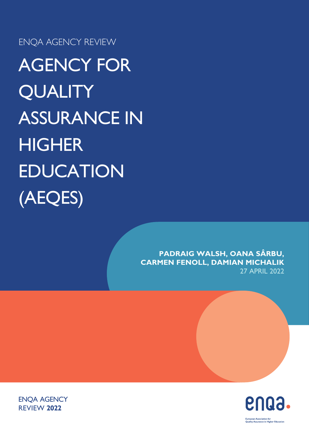ENQA AGENCY REVIEW

AGENCY FOR **QUALITY** ASSURANCE IN **HIGHER** EDUCATION (AEQES)

> **PADRAIG WALSH, OANA SÂRBU, CARMEN FENOLL, DAMIAN MICHALIK** 27 APRIL 2022





ENQA AGENCY REVIEW **2022**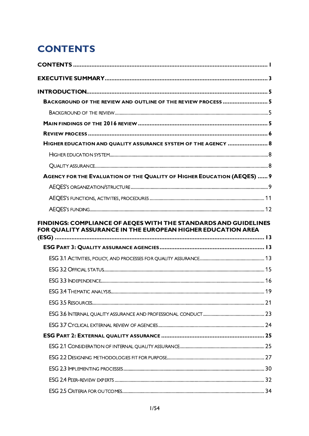# <span id="page-1-0"></span>**CONTENTS**

| BACKGROUND OF THE REVIEW AND OUTLINE OF THE REVIEW PROCESS  5           |    |
|-------------------------------------------------------------------------|----|
|                                                                         |    |
|                                                                         |    |
|                                                                         |    |
| HIGHER EDUCATION AND QUALITY ASSURANCE SYSTEM OF THE AGENCY  8          |    |
|                                                                         |    |
|                                                                         |    |
| AGENCY FOR THE EVALUATION OF THE QUALITY OF HIGHER EDUCATION (AEQES)  9 |    |
|                                                                         |    |
|                                                                         |    |
|                                                                         |    |
| FOR QUALITY ASSURANCE IN THE EUROPEAN HIGHER EDUCATION AREA             |    |
|                                                                         |    |
|                                                                         |    |
|                                                                         |    |
|                                                                         | 19 |
|                                                                         |    |
|                                                                         |    |
|                                                                         |    |
|                                                                         |    |
|                                                                         |    |
|                                                                         |    |
|                                                                         |    |
|                                                                         |    |
|                                                                         |    |
|                                                                         |    |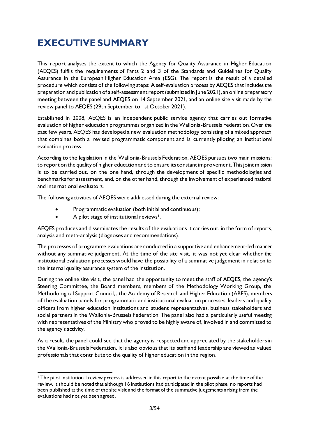# <span id="page-3-0"></span>**EXECUTIVE SUMMARY**

This report analyses the extent to which the Agency for Quality Assurance in Higher Education (AEQES) fulfils the requirements of Parts 2 and 3 of the Standards and Guidelines for Quality Assurance in the European Higher Education Area (ESG). The report is the result of a detailed procedure which consists of the following steps: A self-evaluation process by AEQES that includes the preparation and publication of a self-assessment report (submitted in June 2021), an online preparatory meeting between the panel and AEQES on 14 September 2021, and an online site visit made by the review panel to AEQES (29th September to 1st October 2021).

Established in 2008, AEQES is an independent public service agency that carries out formative evaluation of higher education programmes organized in the Wallonia-Brussels Federation. Over the past few years, AEQES has developed a new evaluation methodology consisting of a mixed approach that combines both a revised programmatic component and is currently piloting an institutional evaluation process.

According to the legislation in the Wallonia-Brussels Federation, AEQES pursues two main missions: to report on the quality of higher education and to ensure its constant improvement. This joint mission is to be carried out, on the one hand, through the development of specific methodologies and benchmarks for assessment, and, on the other hand, through the involvement of experienced national and international evaluators.

The following activities of AEQES were addressed during the external review:

- Programmatic evaluation (both initial and continuous);
- A pilot stage of institutional reviews<sup>1</sup>.

AEQES produces and disseminates the results of the evaluations it carries out, in the form of reports, analysis and meta-analysis (diagnoses and recommendations).

The processes of programme evaluations are conducted in a supportive and enhancement-led manner without any summative judgement. At the time of the site visit, it was not yet clear whether the institutional evaluation processes would have the possibility of a summative judgement in relation to the internal quality assurance system of the institution.

During the online site visit, the panel had the opportunity to meet the staff of AEQES, the agency's Steering Committee, the Board members, members of the Methodology Working Group, the Methodological Support Council, , the Academy of Research and Higher Education (ARES), members of the evaluation panels for programmatic and institutional evaluation processes, leaders and quality officers from higher education institutions and student representatives, business stakeholders and social partners in the Wallonia-Brussels Federation. The panel also had a particularly useful meeting with representatives of the Ministry who proved to be highly aware of, involved in and committed to the agency's activity.

As a result, the panel could see that the agency is respected and appreciated by the stakeholders in the Wallonia-Brussels Federation. It is also obvious that its staff and leadership are viewed as valued professionals that contribute to the quality of higher education in the region.

<sup>&</sup>lt;sup>1</sup> The pilot institutional review process is addressed in this report to the extent possible at the time of the review. It should be noted that although 16 institutions had participated in the pilot phase, no reports had been published at the time of the site visit and the format of the summative judgements arising from the evaluations had not yet been agreed.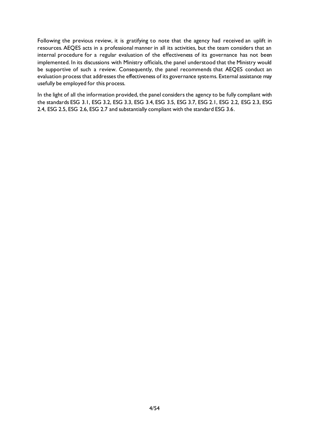Following the previous review, it is gratifying to note that the agency had received an uplift in resources. AEQES acts in a professional manner in all its activities, but the team considers that an internal procedure for a regular evaluation of the effectiveness of its governance has not been implemented. In its discussions with Ministry officials, the panel understood that the Ministry would be supportive of such a review. Consequently, the panel recommends that AEQES conduct an evaluation process that addresses the effectiveness of its governance systems. External assistance may usefully be employed for this process.

In the light of all the information provided, the panel considers the agency to be fully compliant with the standards ESG 3.1, ESG 3.2, ESG 3.3, ESG 3.4, ESG 3.5, ESG 3.7, ESG 2.1, ESG 2.2, ESG 2.3, ESG 2.4, ESG 2.5, ESG 2.6, ESG 2.7 and substantially compliant with the standard ESG 3.6.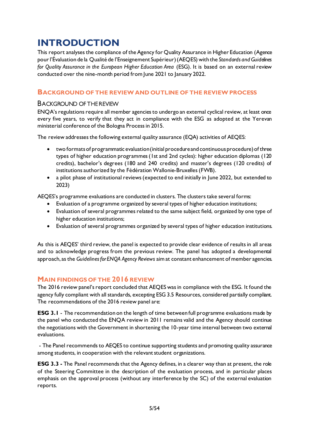# <span id="page-5-0"></span>**INTRODUCTION**

This report analyses the compliance of the Agency for Quality Assurance in Higher Education (Agence pour l'Évaluation de la Qualité de l'Enseignement Supérieur)(AEQES) with the *Standards and Guidelines for Quality Assurance in the European Higher Education Area* (ESG). It is based on an external review conducted over the nine-month period from June 2021 to January 2022.

# <span id="page-5-1"></span>**BACKGROUND OF THE REVIEW AND OUTLINE OF THE REVIEW PROCESS**

# <span id="page-5-2"></span>BACKGROUND OF THE REVIEW

ENQA's regulations require all member agencies to undergo an external cyclical review, at least once every five years, to verify that they act in compliance with the ESG as adopted at the Yerevan ministerial conference of the Bologna Process in 2015.

The review addresses the following external quality assurance (EQA) activities of AEQES:

- two formats of programmatic evaluation (initial procedure and continuous procedure) of three types of higher education programmes (1st and 2nd cycles): higher education diplomas (120 credits), bachelor's degrees (180 and 240 credits) and master's degrees (120 credits) of institutions authorized by the Fédération Wallonie-Bruxelles (FWB).
- a pilot phase of institutional reviews (expected to end initially in June 2022, but extended to 2023)

AEQES's programme evaluations are conducted in clusters. The clusters take several forms:

- Evaluation of a programme organized by several types of higher education institutions;
- Evaluation of several programmes related to the same subject field, organized by one type of higher education institutions;
- Evaluation of several programmes organized by several types of higher education institutions.

As this is AEQES' third review, the panel is expected to provide clear evidence of results in all areas and to acknowledge progress from the previous review. The panel has adopted a developmental approach, as the *Guidelines for ENQA Agency Reviews* aim at constant enhancement of member agencies.

# <span id="page-5-3"></span>**MAIN FINDINGS OF THE 2016 REVIEW**

The 2016 review panel's report concluded that AEQES was in compliance with the ESG. It found the agency fully compliant with all standards, excepting ESG 3.5 Resources, considered partially compliant. The recommendations of the 2016 review panel are:

**ESG 3.1** - The recommendation on the length of time between full programme evaluations made by the panel who conducted the ENQA review in 2011 remains valid and the Agency should continue the negotiations with the Government in shortening the 10-year time interval between two external evaluations.

- The Panel recommends to AEQES to continue supporting students and promoting quality assurance among students, in cooperation with the relevant student organizations.

**ESG 3.3 -** The Panel recommends that the Agency defines, in a clearer way than at present, the role of the Steering Committee in the description of the evaluation process, and in particular places emphasis on the approval process (without any interference by the SC) of the external evaluation reports.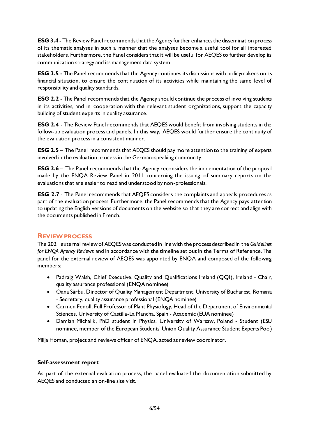**ESG 3.4 -** The Review Panel recommends that the Agency further enhances the dissemination process of its thematic analyses in such a manner that the analyses become a useful tool for all interested stakeholders. Furthermore, the Panel considers that it will be useful for AEQES to further develop its communication strategy and its management data system.

**ESG 3.5 -** The Panel recommends that the Agency continues its discussions with policymakers on its financial situation, to ensure the continuation of its activities while maintaining the same level of responsibility and quality standards.

**ESG 2.2** - The Panel recommends that the Agency should continue the process of involving students in its activities, and in cooperation with the relevant student organizations, support the capacity building of student experts in quality assurance.

**ESG 2.4** - The Review Panel recommends that AEQES would benefit from involving students in the follow-up evaluation process and panels. In this way, AEQES would further ensure the continuity of the evaluation process in a consistent manner.

**ESG 2.5** – The Panel recommends that AEQES should pay more attention to the training of experts involved in the evaluation process in the German-speaking community.

**ESG 2.6** – The Panel recommends that the Agency reconsiders the implementation of the proposal made by the ENQA Review Panel in 2011 concerning the issuing of summary reports on the evaluations that are easier to read and understood by non-professionals.

**ESG 2.7** - The Panel recommends that AEQES considers the complaints and appeals procedures as part of the evaluation process. Furthermore, the Panel recommends that the Agency pays attention to updating the English versions of documents on the website so that they are correct and align with the documents published in French.

# <span id="page-6-0"></span>**REVIEW PROCESS**

The 2021 external review of AEQESwas conducted in line with the process described in the *Guidelines for ENQA Agency Reviews* and in accordance with the timeline set out in the Terms of Reference. The panel for the external review of AEQES was appointed by ENQA and composed of the following members:

- Padraig Walsh, Chief Executive, Quality and Qualifications Ireland (QQI), Ireland Chair, quality assurance professional (ENQA nominee)
- Oana Sârbu, Director of Quality Management Department, University of Bucharest, Romania - Secretary, quality assurance professional (ENQA nominee)
- Carmen Fenoll, Full Professor of Plant Physiology, Head of the Department of Environmental Sciences, University of Castilla-La Mancha, Spain - Academic (EUA nominee)
- Damian Michalik, PhD student in Physics, University of Warsaw, Poland Student (ESU nominee, member of the European Students' Union Quality Assurance Student Experts Pool)

Milja Homan, project and reviews officer of ENQA, acted as review coordinator.

# **Self-assessment report**

As part of the external evaluation process, the panel evaluated the documentation submitted by AEQES and conducted an on-line site visit.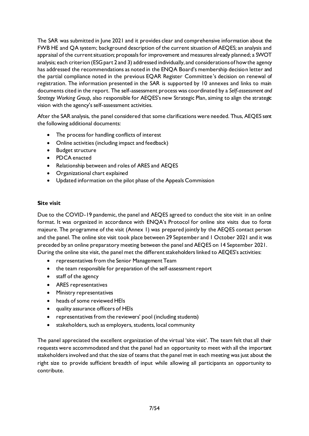The SAR was submitted in June 2021 and it provides clear and comprehensive information about the FWB HE and QA system; background description of the current situation of AEQES; an analysis and appraisal of the current situation; proposals for improvement and measures already planned; a SWOT analysis; each criterion (ESG part 2 and 3) addressed individually, and considerations of how the agency has addressed the recommendations as noted in the ENQA Board's membership decision letter and the partial compliance noted in the previous EQAR Register Committee's decision on renewal of registration. The information presented in the SAR is supported by 10 annexes and links to main documents cited in the report. The self-assessment process was coordinated by a *Self-assessment and Strategy Working Group,* also responsible for AEQES's new Strategic Plan, aiming to align the strategic vision with the agency's self-assessment activities.

After the SAR analysis, the panel considered that some clarifications were needed. Thus, AEQES sent the following additional documents:

- The process for handling conflicts of interest
- Online activities (including impact and feedback)
- Budget structure
- PDCA enacted
- Relationship between and roles of ARES and AEQES
- Organizational chart explained
- Updated information on the pilot phase of the Appeals Commission

#### **Site visit**

Due to the COVID-19 pandemic, the panel and AEQES agreed to conduct the site visit in an online format. It was organized in accordance with ENQA's Protocol for online site visits due to force majeure. The programme of the visit (Annex 1) was prepared jointly by the AEQES contact person and the panel. The online site visit took place between 29 September and 1 October 2021 and it was preceded by an online preparatory meeting between the panel and AEQES on 14 September 2021. During the online site visit, the panel met the different stakeholders linked to AEQES's activities:

- representatives from the Senior Management Team
- the team responsible for preparation of the self-assessment report
- staff of the agency
- ARES representatives
- Ministry representatives
- heads of some reviewed HEIs
- quality assurance officers of HEIs
- representatives from the reviewers' pool (including students)
- stakeholders, such as employers, students, local community

The panel appreciated the excellent organization of the virtual 'site visit'. The team felt that all their requests were accommodated and that the panel had an opportunity to meet with all the important stakeholders involved and that the size of teams that the panel met in each meeting was just about the right size to provide sufficient breadth of input while allowing all participants an opportunity to contribute.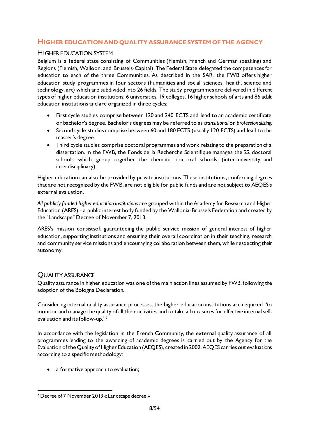# <span id="page-8-0"></span>**HIGHER EDUCATION AND QUALITY ASSURANCE SYSTEM OF THE AGENCY**

# <span id="page-8-1"></span>HIGHER EDUCATION SYSTEM

Belgium is a federal state consisting of Communities (Flemish, French and German speaking) and Regions (Flemish, Walloon, and Brussels-Capital). The Federal State delegated the competencesfor education to each of the three Communities. As described in the SAR, the FWB offers higher education study programmes in four sectors (humanities and social sciences, health, science and technology, art) which are subdivided into 26 fields. The study programmes are delivered in different types of higher education institutions: 6 universities, 19 colleges, 16 higher schools of arts and 86 adult education institutions and are organized in three cycles:

- First cycle studies comprise between 120 and 240 ECTS and lead to an academic certificate or bachelor's degree. Bachelor's degrees may be referred to as *transitional* or *professionalizing.*
- Second cycle studies comprise between 60 and 180 ECTS (usually 120 ECTS) and lead to the master's degree.
- Third cycle studies comprise doctoral programmes and work relating to the preparation of a dissertation. In the FWB, the Fonds de la Recherche Scientifique manages the 22 doctoral schools which group together the thematic doctoral schools (inter-university and interdisciplinary).

Higher education can also be provided by private institutions. These institutions, conferring degrees that are not recognized by the FWB, are not eligible for public funds and are not subject to AEQES's external evaluation.

*All publicly funded higher education institutions* are grouped within the Academy for Research and Higher Education (ARES) - a public interest body funded by the Wallonia-Brussels Federation and created by the "Landscape" Decree of November 7, 2013.

ARES's mission consistsof: guaranteeing the public service mission of general interest of higher education, supporting institutions and ensuring their overall coordination in their teaching, research and community service missions and encouraging collaboration between them, while respecting their autonomy.

# <span id="page-8-2"></span>QUALITY ASSURANCE

Quality assurance in higher education was one of the main action lines assumed by FWB, following the adoption of the Bologna Declaration.

Considering internal quality assurance processes, the higher education institutions are required "to monitor and manage the quality of all their activities and to take all measures for effective internal selfevaluation and its follow-up." 2

In accordance with the legislation in the French Community, the external quality assurance of all programmes leading to the awarding of academic degrees is carried out by the Agency for the Evaluation of the Quality of Higher Education (AEQES), created in 2002. AEQES carries out evaluations according to a specific methodology:

• a formative approach to evaluation;

<sup>2</sup> Decree of 7 November 2013 « Landscape decree »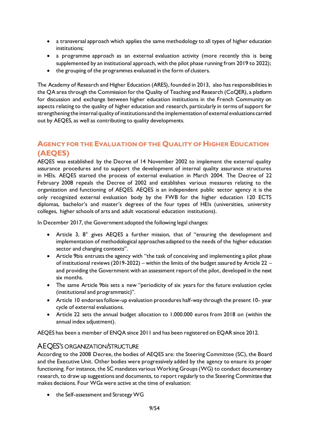- a transversal approach which applies the same methodology to all types of higher education institutions;
- a programme approach as an external evaluation activity (more recently this is being supplemented by an institutional approach, with the pilot phase running from 2019 to 2022);
- the grouping of the programmes evaluated in the form of clusters.

The Academy of Research and Higher Education (ARES), founded in 2013, also has responsibilities in the QA area through the Commission for the Quality of Teaching and Research (CoQER), a platform for discussion and exchange between higher education institutions in the French Community on aspects relating to the quality of higher education and research, particularly in terms of support for strengthening the internal quality of institutions and the implementation of external evaluations carried out by AEQES, as well as contributing to quality developments.

# <span id="page-9-0"></span>**AGENCY FOR THE EVALUATION OF THE QUALITY OF HIGHER EDUCATION (AEQES)**

AEQES was established by the Decree of 14 November 2002 to implement the external quality assurance procedures and to support the development of internal quality assurance structures in HEIs. AEQES started the process of external evaluation in March 2004. The Decree of 22 February 2008 repeals the Decree of 2002 and establishes various measures relating to the organization and functioning of AEQES. AEQES is an independent public sector agency it is the only recognized external evaluation body by the FWB for the higher education 120 ECTS diplomas, bachelor's and master's degrees of the four types of HEIs (universities, university colleges, higher schools of arts and adult vocational education institutions).

In December 2017, the Government adopted the following legal changes:

- Article 3, 8° gives AEQES a further mission, that of "ensuring the development and implementation of methodological approaches adapted to the needs of the higher education sector and changing contexts".
- Article 9bis entrusts the agency with "the task of conceiving and implementing a pilot phase of institutional reviews (2019-2022) – within the limits of the budget assured by Article 22 – and providing the Government with an assessment report of the pilot, developed in the next six months.
- The same Article 9bis sets a new "periodicity of six years for the future evaluation cycles (institutional and programmatic)".
- Article 10 endorses follow-up evaluation procedures half-way through the present 10- year cycle of external evaluations.
- Article 22 sets the annual budget allocation to 1.000.000 euros from 2018 on (within the annual index adjustment).

AEQES has been a member of ENQA since 2011 and has been registered on EQAR since 2012.

# <span id="page-9-1"></span>AEQES'S ORGANIZATION/STRUCTURE

According to the 2008 Decree, the bodies of AEQES are: the Steering Committee (SC), the Board and the Executive Unit. Other bodies were progressively added by the agency to ensure its proper functioning. For instance, the SC mandates various Working Groups (WG) to conduct documentary research, to draw up suggestions and documents, to report regularly to the Steering Committee that makes decisions. Four WGs were active at the time of evaluation:

• the Self-assessment and Strategy WG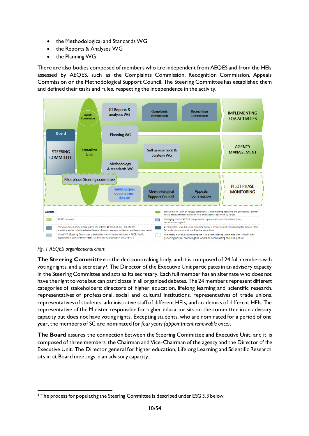- the Methodological and Standards WG
- the Reports & Analyses WG
- the Planning WG

There are also bodies composed of members who are independent from AEQES and from the HEIs assessed by AEQES, such as the Complaints Commission, Recognition Commission, Appeals Commission or the Methodological Support Council. The Steering Committee has established them and defined their tasks and rules, respecting the independence in the activity.



#### *Fig. 1 AEQES organizational chart*

**The Steering Committee** is the decision-making body, and it is composed of 24 full members with voting rights, and a secretary3. The Director of the Executive Unit participates in an advisory capacity in the Steering Committee and acts as its secretary. Each full member has an alternate who does not have the right to vote but can participate in all organized debates. The 24 members represent different categories of stakeholders: directors of higher education, lifelong learning and scientific research, representatives of professional, social and cultural institutions, representatives of trade unions, representatives of students, administrative staff of different HEIs, and academics of different HEIs. The representative of the Minister responsible for higher education sits on the committee in an advisory capacity but does not have voting rights. Excepting students, who are nominated for a period of one year, the members of SC are nominated for *four years (appointment renewable once)*.

**The Board** assures the connection between the Steering Committee and Executive Unit, and it is composed of three members: the Chairman and Vice-Chairman of the agency and the Director of the Executive Unit. The Director general for higher education, Lifelong Learning and Scientific Research sits in at Board meetings in an advisory capacity.

<sup>&</sup>lt;sup>3</sup> The process for populating the Steering Committee is described under ESG 3.3 below.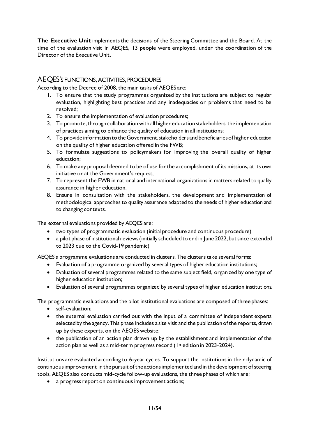**The Executive Unit** implements the decisions of the Steering Committee and the Board. At the time of the evaluation visit in AEQES, 13 people were employed, under the coordination of the Director of the Executive Unit.

# <span id="page-11-0"></span>AEQES'S FUNCTIONS, ACTIVITIES, PROCEDURES

According to the Decree of 2008, the main tasks of AEQES are:

- 1. To ensure that the study programmes organized by the institutions are subject to regular evaluation, highlighting best practices and any inadequacies or problems that need to be resolved;
- 2. To ensure the implementation of evaluation procedures;
- 3. To promote, through collaboration with all higher education stakeholders, the implementation of practices aiming to enhance the quality of education in all institutions;
- 4. To provide information to the Government, stakeholders and beneficiaries of higher education on the quality of higher education offered in the FWB;
- 5. To formulate suggestions to policymakers for improving the overall quality of higher education;
- 6. To make any proposal deemed to be of use for the accomplishment of its missions, at its own initiative or at the Government's request;
- 7. To represent the FWB in national and international organizations in matters related to quality assurance in higher education.
- 8. Ensure in consultation with the stakeholders, the development and implementation of methodological approaches to quality assurance adapted to the needs of higher education and to changing contexts.

The external evaluations provided by AEQES are:

- two types of programmatic evaluation (initial procedure and continuous procedure)
- a pilot phase of institutional reviews (initially scheduled to end in June 2022, but since extended to 2023 due to the Covid-19 pandemic)

AEQES's programme evaluations are conducted in clusters. The clusters take several forms:

- Evaluation of a programme organized by several types of higher education institutions;
- Evaluation of several programmes related to the same subject field, organized by one type of higher education institution;
- Evaluation of several programmes organized by several types of higher education institutions.

The programmatic evaluations and the pilot institutional evaluations are composed of three phases:

- self-evaluation;
- the external evaluation carried out with the input of a committee of independent experts selected by the agency. This phase includes a site visit and the publication of the reports, drawn up by these experts, on the AEQES website;
- the publication of an action plan drawn up by the establishment and implementation of the action plan as well as a mid-term progress record (1<sup>st</sup> edition in 2023-2024).

Institutions are evaluated according to 6-year cycles. To support the institutions in their dynamic of continuous improvement, in the pursuit of the actions implemented and in the development of steering tools, AEQES also conducts mid-cycle follow-up evaluations, the three phases of which are:

• a progress report on continuous improvement actions;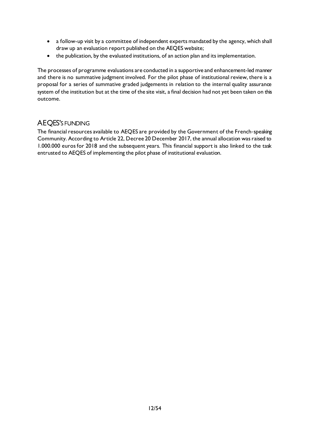- a follow-up visit by a committee of independent experts mandated by the agency, which shall draw up an evaluation report published on the AEQES website;
- the publication, by the evaluated institutions, of an action plan and its implementation.

The processes of programme evaluations are conducted in a supportive and enhancement-led manner and there is no summative judgment involved. For the pilot phase of institutional review, there is a proposal for a series of summative graded judgements in relation to the internal quality assurance system of the institution but at the time of the site visit, a final decision had not yet been taken on this outcome.

# <span id="page-12-0"></span>AEQES'S FUNDING

The financial resources available to AEQES are provided by the Government of the French-speaking Community. According to Article 22, Decree 20 December 2017, the annual allocation was raised to 1.000.000 euros for 2018 and the subsequent years. This financial support is also linked to the task entrusted to AEQES of implementing the pilot phase of institutional evaluation.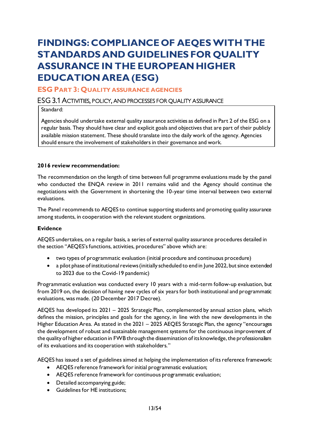# <span id="page-13-0"></span>**FINDINGS: COMPLIANCE OF AEQESWITH THE STANDARDS AND GUIDELINES FOR QUALITY ASSURANCE IN THE EUROPEAN HIGHER EDUCATION AREA (ESG)**

# <span id="page-13-1"></span>**ESG PART 3: QUALITY ASSURANCE AGENCIES**

# <span id="page-13-2"></span>ESG 3.1 ACTIVITIES, POLICY, AND PROCESSES FOR QUALITY ASSURANCE

Standard:

Agencies should undertake external quality assurance activities as defined in Part 2 of the ESG on a regular basis. They should have clear and explicit goals and objectives that are part of their publicly available mission statement. These should translate into the daily work of the agency. Agencies should ensure the involvement of stakeholders in their governance and work.

#### **2016 review recommendation:**

The recommendation on the length of time between full programme evaluations made by the panel who conducted the ENQA review in 2011 remains valid and the Agency should continue the negotiations with the Government in shortening the 10-year time interval between two external evaluations.

The Panel recommends to AEQES to continue supporting students and promoting quality assurance among students, in cooperation with the relevant student organizations.

#### **Evidence**

AEQES undertakes, on a regular basis, a series of external quality assurance procedures detailed in the section "AEQES's functions, activities, procedures" above which are:

- two types of programmatic evaluation (initial procedure and continuous procedure)
- a pilot phase of institutional reviews (initially scheduled to end in June 2022, but since extended to 2023 due to the Covid-19 pandemic)

Programmatic evaluation was conducted every 10 years with a mid-term follow-up evaluation, but from 2019 on, the decision of having new cycles of six years for both institutional and programmatic evaluations, was made. (20 December 2017 Decree).

AEQES has developed its 2021 – 2025 Strategic Plan, complemented by annual action plans, which defines the mission, principles and goals for the agency, in line with the new developments in the Higher Education Area. As stated in the 2021 – 2025 AEQES Strategic Plan, the agency "encourages the development of robust and sustainable management systems for the continuous improvement of the quality of higher education in FWB through the dissemination of its knowledge, the professionalism of its evaluations and its cooperation with stakeholders."

AEQES has issued a set of guidelines aimed at helping the implementation of its reference framework:

- AEQES reference framework for initial programmatic evaluation;
- AEQES reference framework for continuous programmatic evaluation;
- Detailed accompanying guide;
- Guidelines for HE institutions;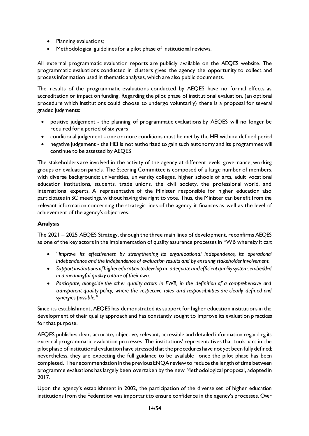- Planning evaluations;
- Methodological guidelines for a pilot phase of institutional reviews.

All external programmatic evaluation reports are publicly available on the AEQES website. The programmatic evaluations conducted in clusters gives the agency the opportunity to collect and process information used in thematic analyses, which are also public documents.

The results of the programmatic evaluations conducted by AEQES have no formal effects as accreditation or impact on funding. Regarding the pilot phase of institutional evaluation, (an optional procedure which institutions could choose to undergo voluntarily) there is a proposal for several graded judgments:

- positive judgement the planning of programmatic evaluations by AEQES will no longer be required for a period of six years
- conditional judgement one or more conditions must be met by the HEI within a defined period
- negative judgement the HEI is not authorized to gain such autonomy and its programmes will continue to be assessed by AEQES

The stakeholders are involved in the activity of the agency at different levels: governance, working groups or evaluation panels. The Steering Committee is composed of a large number of members, with diverse backgrounds: universities, university colleges, higher schools of arts, adult vocational education institutions, students, trade unions, the civil society, the professional world, and international experts. A representative of the Minister responsible for higher education also participates in SC meetings, without having the right to vote. Thus, the Minister can benefit from the relevant information concerning the strategic lines of the agency it finances as well as the level of achievement of the agency's objectives.

# **Analysis**

The 2021 – 2025 AEQES Strategy, through the three main lines of development, reconfirms AEQES as one of the key actors in the implementation of quality assurance processes in FWB whereby it can:

- *"Improve its effectiveness by strengthening its organizational independence, its operational independence and the independence of evaluation results and by ensuring stakeholder involvement.*
- *Support institutions of higher education to develop an adequate and efficient quality system, embedded in a meaningful quality culture of their own.*
- *Participate, alongside the other quality actors in FWB, in the definition of a comprehensive and transparent quality policy, where the respective roles and responsibilities are clearly defined and synergies possible."*

Since its establishment, AEQES has demonstrated its support for higher education institutions in the development of their quality approach and has constantly sought to improve its evaluation practices for that purpose.

AEQES publishes clear, accurate, objective, relevant, accessible and detailed information regarding its external programmatic evaluation processes. The institutions' representatives that took part in the pilot phase of institutional evaluation have stressed that the procedures have not yet been fully defined; nevertheless, they are expecting the full guidance to be available once the pilot phase has been completed. The recommendation in the previous ENQA review to reduce the length of time between programme evaluations has largely been overtaken by the new Methodological proposal, adopted in 2017*.*

Upon the agency's establishment in 2002, the participation of the diverse set of higher education institutions from the Federation was important to ensure confidence in the agency's processes. Over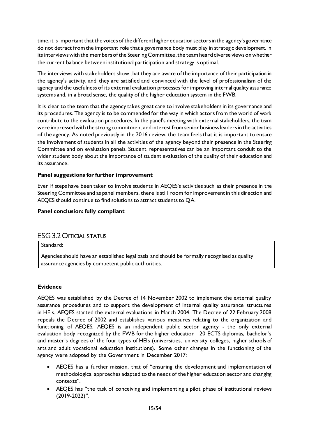time, it is important that the voices of the different higher education sectors in the agency's governance do not detract from the important role that a governance body must play in strategic development. In its interviewswith the members of the Steering Committee, the team heard diverse views on whether the current balance between institutional participation and strategy is optimal.

The interviews with stakeholders show that they are aware of the importance of their participation in the agency's activity, and they are satisfied and convinced with the level of professionalism of the agency and the usefulness of its external evaluation processes for improving internal quality assurance systems and, in a broad sense, the quality of the higher education system in the FWB.

It is clear to the team that the agency takes great care to involve stakeholders in its governance and its procedures. The agency is to be commended for the way in which actors from the world of work contribute to the evaluation procedures. In the panel's meeting with external stakeholders, the team were impressed with the strong commitment and interest from senior business leaders in the activities of the agency. As noted previously in the 2016 review, the team feels that it is important to ensure the involvement of students in all the activities of the agency beyond their presence in the Steering Committee and on evaluation panels. Student representatives can be an important conduit to the wider student body about the importance of student evaluation of the quality of their education and its assurance.

# **Panel suggestions for further improvement**

Even if steps have been taken to involve students in AEQES's activities such as their presence in the Steering Committee and as panel members, there is still room for improvement in this direction and AEQES should continue to find solutions to attract students to QA.

#### **Panel conclusion: fully compliant**

# <span id="page-15-0"></span>ESG 3.2 OFFICIAL STATUS

Standard:

Agencies should have an established legal basis and should be formally recognised as quality assurance agencies by competent public authorities.

#### **Evidence**

AEQES was established by the Decree of 14 November 2002 to implement the external quality assurance procedures and to support the development of internal quality assurance structures in HEIs. AEQES started the external evaluations in March 2004. The Decree of 22 February 2008 repeals the Decree of 2002 and establishes various measures relating to the organization and functioning of AEQES. AEQES is an independent public sector agency - the only external evaluation body recognized by the FWB for the higher education 120 ECTS diplomas, bachelor's and master's degrees of the four types of HEIs (universities, university colleges, higher schools of arts and adult vocational education institutions). Some other changes in the functioning of the agency were adopted by the Government in December 2017:

- AEQES has a further mission, that of "ensuring the development and implementation of methodological approaches adapted to the needs of the higher education sector and changing contexts".
- AEQES has "the task of conceiving and implementing a pilot phase of institutional reviews (2019-2022)".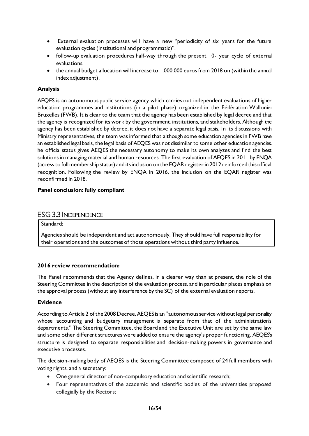- External evaluation processes will have a new "periodicity of six years for the future evaluation cycles (institutional and programmatic)".
- follow-up evaluation procedures half-way through the present 10- year cycle of external evaluations.
- the annual budget allocation will increase to 1.000.000 euros from 2018 on (within the annual index adjustment).

# **Analysis**

AEQES is an autonomous public service agency which carries out independent evaluations of higher education programmes and institutions (in a pilot phase) organized in the Fédération Wallonie-Bruxelles (FWB). It is clear to the team that the agency has been established by legal decree and that the agency is recognized for its work by the government, institutions, and stakeholders. Although the agency has been established by decree, it does not have a separate legal basis. In its discussions with Ministry representatives, the team was informed that although some education agencies in FWB have an established legal basis, the legal basis of AEQES was not dissimilar to some other education agencies. he official status gives AEQES the necessary autonomy to make its own analyzes and find the best solutions in managing material and human resources. The first evaluation of AEQES in 2011 by ENQA (access to full membership status) and its inclusion on the EQAR register in 2012 reinforced this official recognition. Following the review by ENQA in 2016, the inclusion on the EQAR register was reconfirmed in 2018.

# **Panel conclusion: fully compliant**

# <span id="page-16-0"></span>ESG 3.3 INDEPENDENCE

Standard:

Agencies should be independent and act autonomously. They should have full responsibility for their operations and the outcomes of those operations without third party influence.

#### **2016 review recommendation:**

The Panel recommends that the Agency defines, in a clearer way than at present, the role of the Steering Committee in the description of the evaluation process, and in particular places emphasis on the approval process (without any interference by the SC) of the external evaluation reports.

#### **Evidence**

According to Article 2 of the 2008 Decree, AEQES is an "autonomous service without legal personality whose accounting and budgetary management is separate from that of the administration's departments." The Steering Committee, the Board and the Executive Unit are set by the same law and some other different structures were added to ensure the agency's proper functioning. AEQES's structure is designed to separate responsibilities and decision-making powers in governance and executive processes.

The decision-making body of AEQES is the Steering Committee composed of 24 full members with voting rights, and a secretary:

- One general director of non-compulsory education and scientific research;
- Four representatives of the academic and scientific bodies of the universities proposed collegially by the Rectors;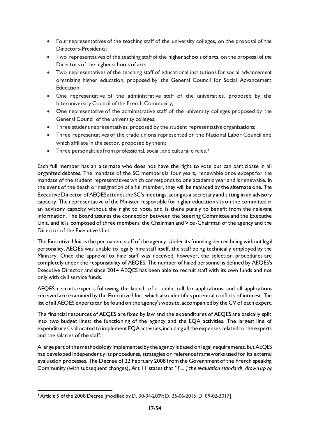- Four representatives of the teaching staff of the university colleges, on the proposal of the Directors-Presidents;
- Two representatives of the teaching staff of the higher schools of arts, on the proposal of the Directors of the higher schools of arts;
- Two representatives of the teaching staff of educational institutions for social advancement organizing higher education, proposed by the General Council for Social Advancement Education;
- One representative of the administrative staff of the universities, proposed by the Interuniversity Council of the French Community;
- One representative of the administrative staff of the university colleges proposed by the General Council of the university colleges;
- Three student representatives, proposed by the student representative organizations;
- Three representatives of the trade unions represented on the National Labor Council and which affiliate in the sector, proposed by them;
- Three personalities from professional, social, and cultural circles.<sup>4</sup>

Each full member has an alternate who does not have the right to vote but can participate in all organized debates. The mandate of the SC members is four years, renewable once except for the mandate of the student representatives which corresponds to one academic year and is renewable. In the event of the death or resignation of a full member, they will be replaced by the alternate one. The Executive Director of AEQES attends the SC's meetings, acting as a secretary and sitting in an advisory capacity. The representative of the Minister responsible for higher education sits on the committee in an advisory capacity without the right to vote, and is there purely to benefit from the relevant information. The Board assures the connection between the Steering Committee and the Executive Unit, and it is composed of three members: the Chairman and Vice-Chairman of the agency and the Director of the Executive Unit.

The Executive Unit is the permanent staff of the agency. Under its founding decree being without legal personality, AEQES was unable to legally hire staff itself, the staff being technically employed by the Ministry. Once the approval to hire staff was received, however, the selection procedures are completely under the responsibility of AEQES. The number of hired personnel is defined by AEQES's Executive Director and since 2014 AEQES has been able to recruit staff with its own funds and not only with civil service funds.

AEQES recruits experts following the launch of a public call for applications, and all applications received are examined by the Executive Unit, which also identifies potential conflicts of interest. The list of all AEQES experts can be found on the agency's website, accompanied by the CV of each expert.

The financial resources of AEQES are fixed by law and the expenditures of AEQES are basically split into two budget lines: the functioning of the agency and the EQA activities. The largest line of expenditures is allocated to implement EQA activities, including all the expenses related to the experts and the salaries of the staff.

A large part of the methodology implemented by the agency is based on legal requirements, but AEQES has developed independently its procedures, strategies or reference frameworks used for its external evaluation processes. The Decree of 22 February 2008 from the Government of the French speaking Community (with subsequent changes), Art 11 states that "*[.....] the evaluation standards, drawn up by* 

<sup>4</sup> Article 5 of the 2008 Decree [modified by D. 30-04-2009; D. 25-06-2015; D. 09-02-2017]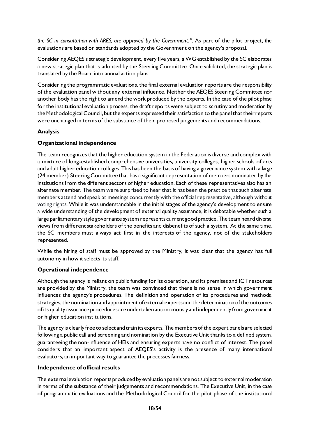*the SC in consultation with ARES, are approved by the Government.".* As part of the pilot project, the evaluations are based on standards adopted by the Government on the agency's proposal.

Considering AEQES's strategic development, every five years, a WG established by the SC elaborates a new strategic plan that is adopted by the Steering Committee. Once validated, the strategic plan is translated by the Board into annual action plans.

Considering the programmatic evaluations, the final external evaluation reports are the responsibility of the evaluation panel without any external influence. Neither the AEQES Steering Committee nor another body has the right to amend the work produced by the experts. In the case of the pilot phase for the institutional evaluation process, the draft reports were subject to scrutiny and moderation by the Methodological Council, but the experts expressed their satisfaction to the panel that their reports were unchanged in terms of the substance of their proposed judgements and recommendations.

# **Analysis**

# **Organizational independence**

The team recognizes that the higher education system in the Federation is diverse and complex with a mixture of long-established comprehensive universities, university colleges, higher schools of arts and adult higher education colleges. This has been the basis of having a governance system with a large (24 member) Steering Committee that has a significant representation of members nominated by the institutions from the different sectors of higher education. Each of these representatives also has an alternate member. The team were surprised to hear that it has been the practice that such alternate members attend and speak at meetings concurrently with the official representative, although without voting rights. While it was understandable in the initial stages of the agency's development to ensure a wide understanding of the development of external quality assurance, it is debatable whether such a large parliamentary style governance system represents current good practice. The team heard diverse views from different stakeholders of the benefits and disbenefits of such a system. At the same time, the SC members must always act first in the interests of the agency, not of the stakeholders represented.

While the hiring of staff must be approved by the Ministry, it was clear that the agency has full autonomy in how it selects its staff.

# **Operational independence**

Although the agency is reliant on public funding for its operation, and its premises and ICT resources are provided by the Ministry, the team was convinced that there is no sense in which government influences the agency's procedures. The definition and operation of its procedures and methods, strategies, the nomination and appointment of external experts and the determination of the outcomes of its quality assurance procedures are undertaken autonomously and independently from government or higher education institutions.

The agency is clearly free to select and train its experts. The members of the expert panels are selected following a public call and screening and nomination by the Executive Unit thanks to a defined system, guaranteeing the non-influence of HEIs and ensuring experts have no conflict of interest. The panel considers that an important aspect of AEQES's activity is the presence of many international evaluators, an important way to guarantee the processesfairness.

# **Independence of official results**

The external evaluation reports produced by evaluation panels are not subject to external moderation in terms of the substance of their judgements and recommendations. The Executive Unit, in the case of programmatic evaluations and the Methodological Council for the pilot phase of the institutional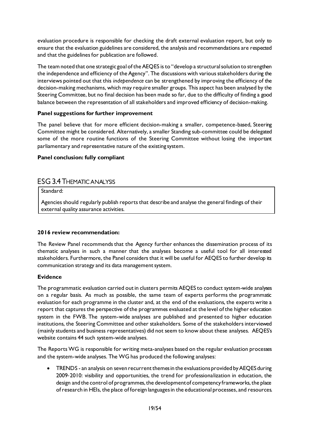evaluation procedure is responsible for checking the draft external evaluation report, but only to ensure that the evaluation guidelines are considered, the analysis and recommendations are respected and that the guidelines for publication are followed.

The team noted that one strategic goal of the AEQES is to "develop a structural solution to strengthen the independence and efficiency of the Agency". The discussions with various stakeholders during the interviews pointed out that this *independence* can be strengthened by improving the efficiency of the decision-making mechanisms, which may require smaller groups. This aspect has been analysed by the Steering Committee, but no final decision has been made so far, due to the difficulty of finding a good balance between the representation of all stakeholders and improved efficiency of decision-making.

# **Panel suggestions for further improvement**

The panel believe that for more efficient decision-making a smaller, competence-based, Steering Committee might be considered. Alternatively, a smaller Standing sub-committee could be delegated some of the more routine functions of the Steering Committee without losing the important parliamentary and representative nature of the existing system.

#### **Panel conclusion: fully compliant**

# <span id="page-19-0"></span>ESG 3.4 THEMATIC ANALYSIS

Standard:

Agencies should regularly publish reports that describe and analyse the general findings of their external quality assurance activities.

#### **2016 review recommendation:**

The Review Panel recommends that the Agency further enhances the dissemination process of its thematic analyses in such a manner that the analyses become a useful tool for all interested stakeholders. Furthermore, the Panel considers that it will be useful for AEQES to further develop its communication strategy and its data management system.

#### **Evidence**

The programmatic evaluation carried out in clusters permits AEQES to conduct system-wide analyses on a regular basis. As much as possible, the same team of experts performs the programmatic evaluation for each programme in the cluster and, at the end of the evaluations, the experts write a report that captures the perspective of the programmes evaluated at the level of the higher education system in the FWB. The system-wide analyses are published and presented to higher education institutions, the Steering Committee and other stakeholders. Some of the stakeholders interviewed (mainly students and business representatives) did not seem to know about these analyses. AEQES's website contains 44 such system-wide analyses.

The Reports WG is responsible for writing meta-analyses based on the regular evaluation processes and the system-wide analyses. The WG has produced the following analyses:

• TRENDS - an analysis on seven recurrent themes in the evaluations provided by AEQES during 2009‐2010: visibility and opportunities, the trend for professionalization in education, the design and the control of programmes, the development of competency frameworks, the place of research in HEIs, the place of foreign languages in the educational processes, and resources.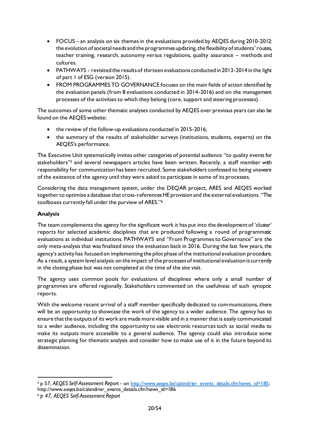- FOCUS an analysis on six themes in the evaluations provided by AEQES during 2010-2012: the evolution of societal needs and the programmes updating, the flexibility of students'routes, teacher training, research, autonomy versus regulations, quality assurance – methods and cultures.
- PATHWAYS revisited the results of thirteen evaluations conducted in 2013-2014 in the light of part 1 of ESG (version 2015).
- FROM PROGRAMMES TO GOVERNANCE focuses on the main fields of action identified by the evaluation panels (from 8 evaluations conducted in 2014-2016) and on the management processes of the activities to which they belong (core, support and steering processes).

The outcomes of some other thematic analyses conducted by AEQES over previous years can also be found on the AEQES website:

- the review of the follow-up evaluations conducted in 2015-2016;
- the summary of the results of stakeholder surveys (institutions, students, experts) on the AEQES's performance.

The Executive Unit systematically invites other categories of potential audience "to quality events for stakeholders" <sup>5</sup> and several newspapers articles have been written. Recently, a staff member with responsibility for communication has been recruited. Some stakeholders confessed to being unaware of the existence of the agency until they were asked to participate in some of its processes.

Considering the data management system, under the DEQAR project, ARES and AEQES worked together to optimize a database that cross-references HE provision and the external evaluations. "The toolboxes currently fall under the purview of ARES." 6

# **Analysis**

The team complements the agency for the significant work it has put into the development of 'cluster' reports for selected academic disciplines that are produced following a round of programmatic evaluations at individual institutions. PATHWAYS and "From Programmes to Governance" are the only meta-analysisthat was finalized since the evaluation back in 2016. During the last few years, the agency's activity has focused on implementing the pilot phase of the institutional evaluation procedure. As a result, a system level analysis on the impact of the processes of institutional evaluation is currently in the closing phase but was not completed at the time of the site visit.

The agency uses common pools for evaluations of disciplines where only a small number of programmes are offered regionally. Stakeholders commented on the usefulness of such synoptic reports.

With the welcome recent arrival of a staff member specifically dedicated to communications, there will be an opportunity to showcase the work of the agency to a wider audience. The agency has to ensure that the outputs of its work are made more visible and in a manner that is easily communicated to a wider audience, including the opportunity to use electronic resources such as social media to make its outputs more accessible to a general audience. The agency could also introduce some strategic planning for thematic analysis and consider how to make use of it in the future beyond its dissemination.

<sup>&</sup>lt;sup>5</sup> p 57, *AEQES Self-Assessment Report -* o[n http://www.aeqes.be/calendrier\\_events\\_details.cfm?news\\_id=185](http://www.aeqes.be/calendrier_events_details.cfm?news_id=185); http://www.aeqes.be/calendrier\_events\_details.cfm?news\_id=186

<sup>6</sup> *p 47, AEQES Self-Assessment Report*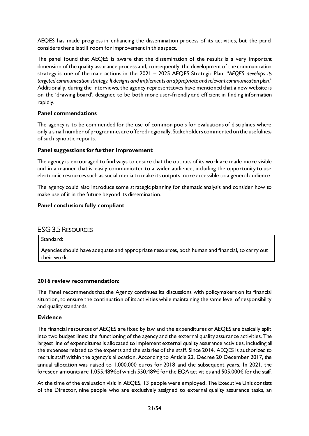AEQES has made progress in enhancing the dissemination process of its activities, but the panel considers there is still room for improvement in this aspect.

The panel found that AEQES is aware that the dissemination of the results is a very important dimension of the quality assurance process and, consequently, the development of the communication strategy is one of the main actions in the 2021 – 2025 AEQES Strategic Plan: "*AEQES develops its targeted communication strategy. It designs and implements an appropriate and relevant communication plan."* Additionally, during the interviews, the agency representatives have mentioned that a new website is on the 'drawing board', designed to be both more user-friendly and efficient in finding information rapidly.

#### **Panel commendations**

The agency is to be commended for the use of common pools for evaluations of disciplines where only a small number of programmes are offered regionally. Stakeholders commented on the usefulness of such synoptic reports.

#### **Panel suggestions for further improvement**

The agency is encouraged to find ways to ensure that the outputs of its work are made more visible and in a manner that is easily communicated to a wider audience, including the opportunity to use electronic resources such as social media to make its outputs more accessible to a general audience.

The agency could also introduce some strategic planning for thematic analysis and consider how to make use of it in the future beyond its dissemination.

#### **Panel conclusion: fully compliant**

# <span id="page-21-0"></span>ESG 3.5 RESOURCES

Standard:

Agencies should have adequate and appropriate resources, both human and financial, to carry out their work.

#### **2016 review recommendation:**

The Panel recommends that the Agency continues its discussions with policymakers on its financial situation, to ensure the continuation of its activities while maintaining the same level of responsibility and quality standards.

#### **Evidence**

The financial resources of AEQES are fixed by law and the expenditures of AEQES are basically split into two budget lines: the functioning of the agency and the external quality assurance activities. The largest line of expenditures is allocated to implement external quality assurance activities, including all the expenses related to the experts and the salaries of the staff. Since 2014, AEQES is authorized to recruit staff within the agency's allocation. According to Article 22, Decree 20 December 2017, the annual allocation was raised to 1.000.000 euros for 2018 and the subsequent years. In 2021, the foreseen amounts are 1.055.489€of which 550.489€ for the EQA activities and 505.000€ for the staff.

At the time of the evaluation visit in AEQES, 13 people were employed. The Executive Unit consists of the Director, nine people who are exclusively assigned to external quality assurance tasks, an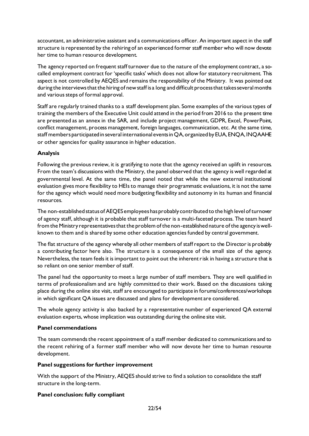accountant, an administrative assistant and a communications officer. An important aspect in the staff structure is represented by the rehiring of an experienced former staff member who will now devote her time to human resource development.

The agency reported on frequent staff turnover due to the nature of the employment contract, a socalled employment contract for 'specific tasks' which does not allow for statutory recruitment. This aspect is not controlled by AEQES and remains the responsibility of the Ministry. It was pointed out during the interviews that the hiring of new staff is a long and difficult process that takes several months and various steps of formal approval.

Staff are regularly trained thanks to a staff development plan. Some examples of the various types of training the members of the Executive Unit could attend in the period from 2016 to the present time are presented as an annex in the SAR, and include project management, GDPR, Excel, PowerPoint, conflict management, process management, foreign languages, communication, etc. At the same time, staff members participated in several international events in QA, organized by EUA, ENQA, INQAAHE or other agencies for quality assurance in higher education.

# **Analysis**

Following the previous review, it is gratifying to note that the agency received an uplift in resources. From the team's discussions with the Ministry, the panel observed that the agency is well regarded at governmental level. At the same time, the panel noted that while the new external institutional evaluation gives more flexibility to HEIs to manage their programmatic evaluations, it is not the same for the agency which would need more budgeting flexibility and autonomy in its human and financial resources.

The non-established status of AEQES employees has probably contributed to the high level of turnover of agency staff, although it is probable that staff turnover is a multi-faceted process. The team heard from the Ministry representatives that the problem of the non-established nature of the agency is wellknown to them and is shared by some other education agencies funded by central government.

The flat structure of the agency whereby all other members of staff report to the Director is probably a contributing factor here also. The structure is a consequence of the small size of the agency. Nevertheless, the team feels it is important to point out the inherent risk in having a structure that is so reliant on one senior member of staff.

The panel had the opportunity to meet a large number of staff members. They are well qualified in terms of professionalism and are highly committed to their work. Based on the discussions taking place during the online site visit, staff are encouraged to participate in forums/conferences/workshops in which significant QA issues are discussed and plans for development are considered.

The whole agency activity is also backed by a representative number of experienced QA external evaluation experts, whose implication was outstanding during the online site visit.

# **Panel commendations**

The team commends the recent appointment of a staff member dedicated to communications and to the recent rehiring of a former staff member who will now devote her time to human resource development.

# **Panel suggestions for further improvement**

With the support of the Ministry, AEQES should strive to find a solution to consolidate the staff structure in the long-term.

# **Panel conclusion: fully compliant**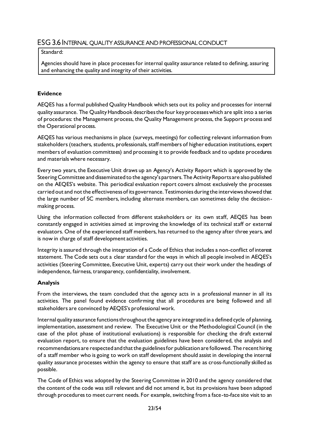# <span id="page-23-0"></span>ESG 3.6 INTERNAL QUALITY ASSURANCE AND PROFESSIONAL CONDUCT

### Standard:

Agencies should have in place processes for internal quality assurance related to defining, assuring and enhancing the quality and integrity of their activities.

### **Evidence**

AEQES has a formal published Quality Handbook which sets out its policy and processes for internal quality assurance. The Quality Handbook describes the four key processes which are split into a series of procedures: the Management process, the Quality Management process, the Support process and the Operational process.

AEQES has various mechanisms in place (surveys, meetings) for collecting relevant information from stakeholders (teachers, students, professionals, staff members of higher education institutions, expert members of evaluation committees) and processing it to provide feedback and to update procedures and materials where necessary.

Every two years, the Executive Unit draws up an Agency's Activity Report which is approved by the Steering Committee and disseminated to the agency's partners. The Activity Reports are also published on the AEQES's website. This periodical evaluation report covers almost exclusively the processes carried out and not the effectiveness of its governance. Testimonies during the interviews showed that the large number of SC members, including alternate members, can sometimes delay the decisionmaking process.

Using the information collected from different stakeholders or its own staff, AEQES has been constantly engaged in activities aimed at improving the knowledge of its technical staff or external evaluators. One of the experienced staff members, has returned to the agency after three years, and is now in charge of staff development activities.

Integrity is assured through the integration of a Code of Ethics that includes a non-conflict of interest statement. The Code sets out a clear standard for the ways in which all people involved in AEQES's activities (Steering Committee, Executive Unit, experts) carry out their work under the headings of independence, fairness, transparency, confidentiality, involvement.

# **Analysis**

From the interviews, the team concluded that the agency acts in a professional manner in all its activities. The panel found evidence confirming that all procedures are being followed and all stakeholders are convinced by AEQES's professional work.

Internal quality assurance functions throughout the agency are integrated in a defined cycle of planning, implementation, assessment and review. The Executive Unit or the Methodological Council (in the case of the pilot phase of institutional evaluations) is responsible for checking the draft external evaluation report, to ensure that the evaluation guidelines have been considered, the analysis and recommendations are respected and that the guidelines for publication are followed. The recent hiring of a staff member who is going to work on staff development should assist in developing the internal quality assurance processes within the agency to ensure that staff are as cross-functionally skilled as possible.

The Code of Ethics was adopted by the Steering Committee in 2010 and the agency considered that the content of the code was still relevant and did not amend it, but its provisions have been adapted through procedures to meet current needs. For example, switching from a face-to-face site visit to an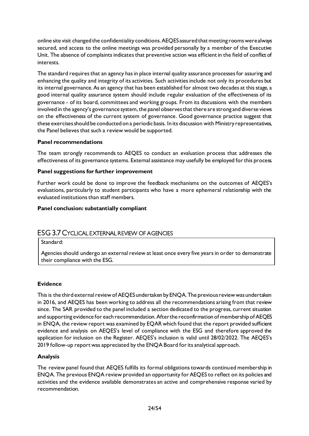online site visit changed the confidentiality conditions. AEQES assured that meeting rooms werealways secured, and access to the online meetings was provided personally by a member of the Executive Unit. The absence of complaints indicates that preventive action was efficient in the field of conflict of interests.

The standard requires that an agency has in place internal quality assurance processes for assuring and enhancing the quality and integrity of its activities. Such activities include not only its procedures but its internal governance. As an agency that has been established for almost two decades at this stage, a good internal quality assurance system should include regular evaluation of the effectiveness of its governance - of its board, committees and working groups. From its discussions with the members involved in the agency's governance system, the panel observes that there are strong and diverse views on the effectiveness of the current system of governance. Good governance practice suggest that these exercises should be conducted on a periodic basis. In its discussion with Ministry representatives, the Panel believes that such a review would be supported.

# **Panel recommendations**

The team strongly recommends to AEQES to conduct an evaluation process that addresses the effectiveness of its governance systems. External assistance may usefully be employed for this process.

#### **Panel suggestions for further improvement**

Further work could be done to improve the feedback mechanisms on the outcomes of AEQES's evaluations, particularly to student participants who have a more ephemeral relationship with the evaluated institutions than staff members.

#### **Panel conclusion: substantially compliant**

# <span id="page-24-0"></span>ESG 3.7 CYCLICAL EXTERNAL REVIEW OF AGENCIES

Standard:

Agencies should undergo an external review at least once every five years in order to demonstrate their compliance with the ESG.

#### **Evidence**

This is the third external review of AEQES undertaken by ENQA. The previous review was undertaken in 2016, and AEQES has been working to address all the recommendations arising from that review since. The SAR provided to the panel included a section dedicated to the progress, current situation and supporting evidence for each recommendation. After the reconfirmation of membership of AEQES in ENQA, the review report was examined by EQAR which found that the report provided sufficient evidence and analysis on AEQES's level of compliance with the ESG and therefore approved the application for inclusion on the Register. AEQES's inclusion is valid until 28/02/2022. The AEQES's 2019 follow-up report was appreciated by the ENQA Board for its analytical approach.

#### **Analysis**

The review panel found that AEQES fulfills its formal obligations towards continued membership in ENQA. The previous ENQA review provided an opportunity for AEQES to reflect on its policies and activities and the evidence available demonstrates an active and comprehensive response varied by recommendation.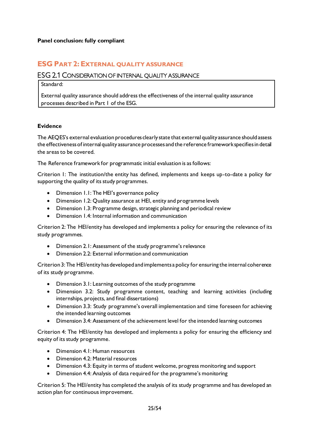# <span id="page-25-0"></span>**ESG PART 2: EXTERNAL QUALITY ASSURANCE**

# <span id="page-25-1"></span>ESG 2.1 CONSIDERATION OF INTERNAL QUALITY ASSURANCE

Standard:

External quality assurance should address the effectiveness of the internal quality assurance processes described in Part 1 of the ESG.

#### **Evidence**

The AEQES's external evaluation procedures clearly state that external quality assurance should assess the effectiveness of internal quality assurance processes and the reference framework specifies in detail the areas to be covered.

The Reference framework for programmatic initial evaluation is as follows:

Criterion 1: The institution/the entity has defined, implements and keeps up-to-date a policy for supporting the quality of its study programmes.

- Dimension 1.1: The HEI's governance policy
- Dimension 1.2: Quality assurance at HEI, entity and programme levels
- Dimension 1.3: Programme design, strategic planning and periodical review
- Dimension 1.4: Internal information and communication

Criterion 2: The HEI/entity has developed and implements a policy for ensuring the relevance of its study programmes.

- Dimension 2.1: Assessment of the study programme's relevance
- Dimension 2.2: External information and communication

Criterion 3: The HEI/entity has developed and implements a policy for ensuring the internal coherence of its study programme.

- Dimension 3.1: Learning outcomes of the study programme
- Dimension 3.2: Study programme content, teaching and learning activities (including internships, projects, and final dissertations)
- Dimension 3.3: Study programme's overall implementation and time foreseen for achieving the intended learning outcomes
- Dimension 3.4: Assessment of the achievement level for the intended learning outcomes

Criterion 4: The HEI/entity has developed and implements a policy for ensuring the efficiency and equity of its study programme.

- Dimension 4.1: Human resources
- Dimension 4.2: Material resources
- Dimension 4.3: Equity in terms of student welcome, progress monitoring and support
- Dimension 4.4: Analysis of data required for the programme's monitoring

Criterion 5: The HEI/entity has completed the analysis of its study programme and has developed an action plan for continuous improvement.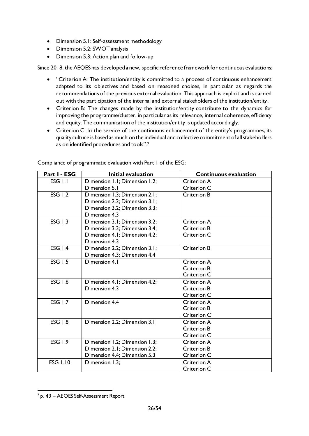- Dimension 5.1: Self-assessment methodology
- Dimension 5.2: SWOT analysis
- Dimension 5.3: Action plan and follow-up

Since 2018, the AEQES has developed a new, specific reference framework for continuous evaluations:

- "Criterion A: The institution/entity is committed to a process of continuous enhancement adapted to its objectives and based on reasoned choices, in particular as regards the recommendations of the previous external evaluation. This approach is explicit and is carried out with the participation of the internal and external stakeholders of the institution/entity.
- Criterion B: The changes made by the institution/entity contribute to the dynamics for improving the programme/cluster, in particular as its relevance, internal coherence, efficiency and equity. The communication of the institution/entity is updated accordingly.
- Criterion C: In the service of the continuous enhancement of the entity's programmes, its quality culture is based as much on the individual and collective commitment of all stakeholders as on identified procedures and tools". 7

| Part I - ESG    | <b>Initial evaluation</b>     | <b>Continuous evaluation</b> |
|-----------------|-------------------------------|------------------------------|
| ESG 1.1         | Dimension 1.1; Dimension 1.2; | Criterion A                  |
|                 | Dimension 5.1                 | Criterion C                  |
| <b>ESG 1.2</b>  | Dimension 1.3; Dimension 2.1; | <b>Criterion B</b>           |
|                 | Dimension 2.2; Dimension 3.1; |                              |
|                 | Dimension 3.2; Dimension 3.3; |                              |
|                 | Dimension 4.3                 |                              |
| <b>ESG 1.3</b>  | Dimension 3.1; Dimension 3.2; | <b>Criterion A</b>           |
|                 | Dimension 3.3; Dimension 3.4; | <b>Criterion B</b>           |
|                 | Dimension 4.1; Dimension 4.2; | Criterion C                  |
|                 | Dimension 4.3                 |                              |
| <b>ESG 1.4</b>  | Dimension 2.2; Dimension 3.1; | <b>Criterion B</b>           |
|                 | Dimension 4.3; Dimension 4.4  |                              |
| <b>ESG 1.5</b>  | Dimension 4.1                 | <b>Criterion A</b>           |
|                 |                               | <b>Criterion B</b>           |
|                 |                               | Criterion C                  |
| <b>ESG 1.6</b>  | Dimension 4.1; Dimension 4.2; | <b>Criterion A</b>           |
|                 | Dimension 4.3                 | <b>Criterion B</b>           |
|                 |                               | Criterion C                  |
| <b>ESG 1.7</b>  | Dimension 4.4                 | <b>Criterion A</b>           |
|                 |                               | <b>Criterion B</b>           |
|                 |                               | Criterion C                  |
| <b>ESG 1.8</b>  | Dimension 2.2; Dimension 3.1  | <b>Criterion A</b>           |
|                 |                               | <b>Criterion B</b>           |
|                 |                               | Criterion C                  |
| <b>ESG 1.9</b>  | Dimension 1.2; Dimension 1.3; | <b>Criterion A</b>           |
|                 | Dimension 2.1; Dimension 2.2; | <b>Criterion B</b>           |
|                 | Dimension 4.4; Dimension 5.3  | Criterion C                  |
| <b>ESG 1.10</b> | Dimension 1.3;                | <b>Criterion A</b>           |
|                 |                               | Criterion C                  |

Compliance of programmatic evaluation with Part 1 of the ESG:

<sup>7</sup> p. 43 – AEQES Self-Assessment Report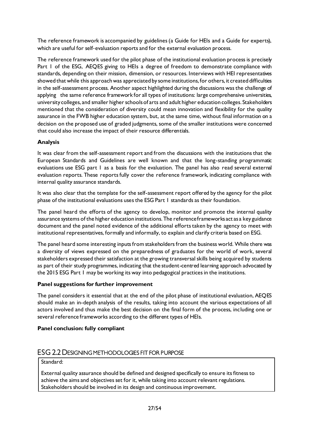The reference framework is accompanied by guidelines (a Guide for HEIs and a Guide for experts), which are useful for self‐evaluation reports and for the external evaluation process.

The reference framework used for the pilot phase of the institutional evaluation process is precisely Part 1 of the ESG, AEQES giving to HEIs a degree of freedom to demonstrate compliance with standards, depending on their mission, dimension, or resources. Interviews with HEI representatives showed that while this approach was appreciated by some institutions, for others, it created difficulties in the self-assessment process. Another aspect highlighted during the discussions was the challenge of applying the same reference framework for all types of institutions: large comprehensive universities, university colleges, and smaller higher schools of arts and adult higher education colleges. Stakeholders mentioned that the consideration of diversity could mean innovation and flexibility for the quality assurance in the FWB higher education system, but, at the same time, without final information on a decision on the proposed use of graded judgments, some of the smaller institutions were concerned that could also increase the impact of their resource differentials.

# **Analysis**

It was clear from the self-assessment report and from the discussions with the institutions that the European Standards and Guidelines are well known and that the long-standing programmatic evaluations use ESG part 1 as a basis for the evaluation. The panel has also read several external evaluation reports. These reports fully cover the reference framework, indicating compliance with internal quality assurance standards.

It was also clear that the template for the self-assessment report offered by the agency for the pilot phase of the institutional evaluations uses the ESG Part 1 standards as their foundation.

The panel heard the efforts of the agency to develop, monitor and promote the internal quality assurance systems of the higher education institutions. The reference frameworks act as a key guidance document and the panel noted evidence of the additional efforts taken by the agency to meet with institutional representatives, formally and informally, to explain and clarify criteria based on ESG.

The panel heard some interesting inputs from stakeholders from the business world. While there was a diversity of views expressed on the preparedness of graduates for the world of work, several stakeholders expressed their satisfaction at the growing transversal skills being acquired by students as part of their study programmes, indicating that the student-centred learning approach advocated by the 2015 ESG Part 1 may be working its way into pedagogical practices in the institutions.

# **Panel suggestions for further improvement**

The panel considers it essential that at the end of the pilot phase of institutional evaluation, AEQES should make an in-depth analysis of the results, taking into account the various expectations of all actors involved and thus make the best decision on the final form of the process, including one or several reference frameworks according to the different types of HEIs.

# **Panel conclusion: fully compliant**

# <span id="page-27-0"></span>ESG 2.2 DESIGNING METHODOLOGIES FIT FOR PURPOSE

Standard:

External quality assurance should be defined and designed specifically to ensure its fitness to achieve the aims and objectives set for it, while taking into account relevant regulations. Stakeholders should be involved in its design and continuous improvement.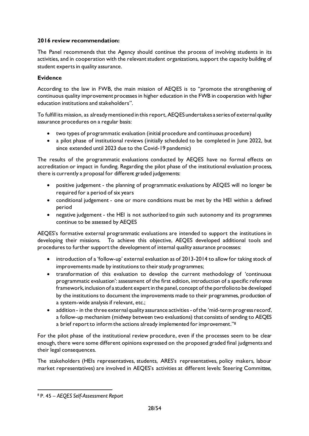# **2016 review recommendation:**

The Panel recommends that the Agency should continue the process of involving students in its activities, and in cooperation with the relevant student organizations, support the capacity building of student experts in quality assurance.

### **Evidence**

According to the law in FWB, the main mission of AEQES is to "promote the strengthening of continuous quality improvement processes in higher education in the FWB in cooperation with higher education institutions and stakeholders".

To fulfill its mission, as already mentioned in this report, AEQES undertakes a series of external quality assurance procedures on a regular basis:

- two types of programmatic evaluation (initial procedure and continuous procedure)
- a pilot phase of institutional reviews (initially scheduled to be completed in June 2022, but since extended until 2023 due to the Covid-19 pandemic)

The results of the programmatic evaluations conducted by AEQES have no formal effects on accreditation or impact in funding. Regarding the pilot phase of the institutional evaluation process, there is currently a proposal for different graded judgements:

- positive judgement the planning of programmatic evaluations by AEQES will no longer be required for a period of six years
- conditional judgement one or more conditions must be met by the HEI within a defined period
- negative judgement the HEI is not authorized to gain such autonomy and its programmes continue to be assessed by AEQES

AEQES's formative external programmatic evaluations are intended to support the institutions in developing their missions. To achieve this objective, AEQES developed additional tools and procedures to further support the development of internal quality assurance processes:

- introduction of a 'follow-up' external evaluation as of 2013-2014 to allow for taking stock of improvements made by institutions to their study programmes;
- transformation of this evaluation to develop the current methodology of 'continuous programmatic evaluation': assessment of the first edition, introduction of a specific reference framework, inclusion of a student expert in the panel, concept of the portfolio to be developed by the institutions to document the improvements made to their programmes, production of a system-wide analysis if relevant, etc.;
- addition in the three external quality assurance activities of the 'mid-term progress record', a follow-up mechanism (midway between two evaluations) that consists of sending to AEQES a brief report to inform the actions already implemented for improvement."<sup>8</sup>

For the pilot phase of the institutional review procedure, even if the processes seem to be clear enough, there were some different opinions expressed on the proposed graded final judgments and their legal consequences.

The stakeholders (HEIs representatives, students, ARES's representatives, policy makers, labour market representatives) are involved in AEQES's activities at different levels: Steering Committee,

<sup>8</sup> P. 45 – *AEQES Self-Assessment Report*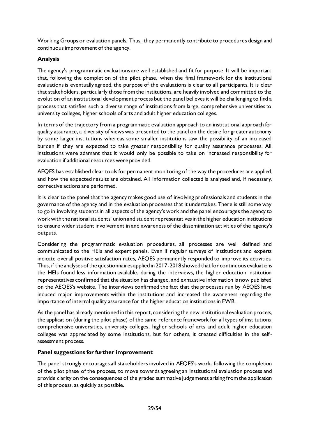Working Groups or evaluation panels. Thus, they permanently contribute to procedures design and continuous improvement of the agency.

# **Analysis**

The agency's programmatic evaluations are well established and fit for purpose. It will be important that, following the completion of the pilot phase, when the final framework for the institutional evaluations is eventually agreed, the purpose of the evaluations is clear to all participants. It is clear that stakeholders, particularly those from the institutions, are heavily involved and committed to the evolution of an institutional development process but the panel believes it will be challenging to find a process that satisfies such a diverse range of institutions from large, comprehensive universities to university colleges, higher schools of arts and adult higher education colleges.

In terms of the trajectory from a programmatic evaluation approach to an institutional approach for quality assurance, a diversity of views was presented to the panel on the desire for greater autonomy by some larger institutions whereas some smaller institutions saw the possibility of an increased burden if they are expected to take greater responsibility for quality assurance processes. All institutions were adamant that it would only be possible to take on increased responsibility for evaluation if additional resources were provided.

AEQES has established clear tools for permanent monitoring of the way the procedures are applied, and how the expected results are obtained. All information collected is analysed and, if necessary, corrective actions are performed.

It is clear to the panel that the agency makes good use of involving professionals and students in the governance of the agency and in the evaluation processes that it undertakes. There is still some way to go in involving students in all aspects of the agency's work and the panel encourages the agency to work with the national students' union and student representatives in the higher education institutions to ensure wider student involvement in and awareness of the dissemination activities of the agency's outputs.

Considering the programmatic evaluation procedures, all processes are well defined and communicated to the HEIs and expert panels. Even if regular surveys of institutions and experts indicate overall positive satisfaction rates, AEQES permanently responded to improve its activities. Thus, if the analyses of the questionnaires applied in 2017-2018 showed that for continuous evaluations the HEIs found less information available, during the interviews, the higher education institution representatives confirmed that the situation has changed, and exhaustive information is now published on the AEQES's website. The interviews confirmed the fact that the processes run by AEQES have induced major improvements within the institutions and increased the awareness regarding the importance of internal quality assurance for the higher education institutions in FWB.

As the panel has already mentioned in this report, considering the new institutional evaluation process, the application (during the pilot phase) of the same reference framework for all types of institutions: comprehensive universities, university colleges, higher schools of arts and adult higher education colleges was appreciated by some institutions, but for others, it created difficulties in the selfassessment process.

#### **Panel suggestions for further improvement**

The panel strongly encourages all stakeholders involved in AEQES's work, following the completion of the pilot phase of the process, to move towards agreeing an institutional evaluation process and provide clarity on the consequences of the graded summative judgements arising from the application of this process, as quickly as possible.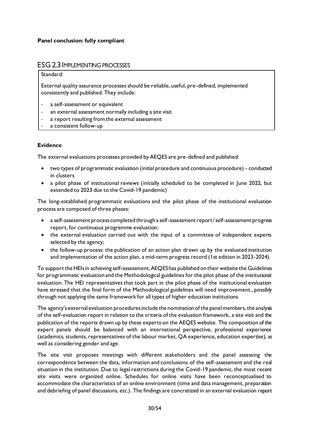# <span id="page-30-0"></span>ESG 2.3 IMPLEMENTING PROCESSES

#### Standard:

External quality assurance processes should be reliable, useful, pre-defined, implemented consistently and published. They include:

- a self-assessment or equivalent
- an external assessment normally including a site visit
- a report resulting from the external assessment
- a consistent follow-up

#### **Evidence**

The external evaluations processes provided by AEQES are pre‐defined and published:

- two types of programmatic evaluation (initial procedure and continuous procedure) conducted in clusters
- a pilot phase of institutional reviews (initially scheduled to be completed in June 2022, but extended to 2023 due to the Covid-19 pandemic)

The long-established programmatic evaluations and the pilot phase of the institutional evaluation process are composed of three phases:

- a self-assessment process completed through a self-assessment report/ self-assessment progress report, for continuous programme evaluation;
- the external evaluation carried out with the input of a committee of independent experts selected by the agency;
- the follow-up process: the publication of an action plan drawn up by the evaluated institution and implementation of the action plan, a mid-term progress record (1st edition in 2023-2024).

To support the HEIs in achieving self-assessment, AEQES has published on their website the Guidelines for programmatic evaluation and the Methodological guidelines for the pilot phase of the institutional evaluation. The HEI representatives that took part in the pilot phase of the institutional evaluation have stressed that the final form of the Methodological guidelines will need improvement., possibly through not applying the same framework for all types of higher education institutions.

The agency's external evaluation proceduresinclude the nomination of the panel members, the analysis of the self-evaluation report in relation to the criteria of the evaluation framework, a site visit and the publication of the reports drawn up by these experts on the AEQES website. The composition of the expert panels should be balanced with an international perspective, professional experience (academics, students, representatives of the labour market, QA experience, education expertise), as well as considering gender and age.

The site visit proposes meetings with different stakeholders and the panel assessing the correspondence between the data, information and conclusions of the self-assessment and the real situation in the institution. Due to legal restrictions during the Covid-19 pandemic, the most recent site visits were organized online. Schedules for online visits have been reconceptualised to accommodate the characteristics of an online environment (time and data management, preparation and debriefing of panel discussions, etc.). The findings are concretized in an external evaluation report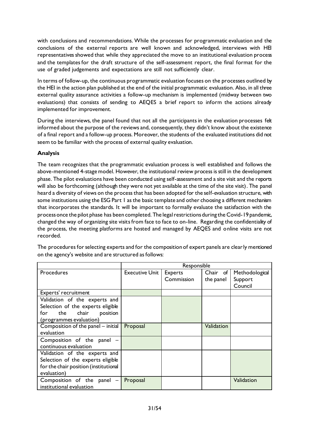with conclusions and recommendations. While the processes for programmatic evaluation and the conclusions of the external reports are well known and acknowledged, interviews with HEI representatives showed that while they appreciated the move to an institutional evaluation process and the templates for the draft structure of the self-assessment report, the final format for the use of graded judgements and expectations are still not sufficiently clear.

In terms of follow-up, the continuous programmatic evaluation focuses on the processes outlined by the HEI in the action plan published at the end of the initial programmatic evaluation. Also, in all three external quality assurance activities a follow-up mechanism is implemented (midway between two evaluations) that consists of sending to AEQES a brief report to inform the actions already implemented for improvement.

During the interviews, the panel found that not all the participants in the evaluation processes felt informed about the purpose of the reviews and, consequently, they didn't know about the existence of a final report and a follow-up process. Moreover, the students of the evaluated institutions did not seem to be familiar with the process of external quality evaluation.

# **Analysis**

The team recognizes that the programmatic evaluation process is well established and follows the above-mentioned 4-stage model. However, the institutional review process is still in the development phase. The pilot evaluations have been conducted using self-assessment and a site visit and the reports will also be forthcoming (although they were not yet available at the time of the site visit). The panel heard a diversity of views on the process that has been adopted for the self-evaluation structure, with some institutions using the ESG Part 1 as the basic template and other choosing a different mechanism that incorporates the standards. It will be important to formally evaluate the satisfaction with the process once the pilot phase has been completed. The legal restrictions during the Covid-19 pandemic, changed the way of organizing site visits from face to face to on-line. Regarding the confidentiality of the process, the meeting platforms are hosted and managed by AEQES and online visits are not recorded.

|                                       | Responsible           |                |            |                |
|---------------------------------------|-----------------------|----------------|------------|----------------|
| Procedures                            | <b>Executive Unit</b> | <b>Experts</b> | Chair of   | Methodological |
|                                       |                       | Commission     | the panel  | Support        |
|                                       |                       |                |            | Council        |
| Experts' recruitment                  |                       |                |            |                |
| Validation of the experts and         |                       |                |            |                |
| Selection of the experts eligible     |                       |                |            |                |
| for the chair<br>position             |                       |                |            |                |
| (programmes evaluation)               |                       |                |            |                |
| Composition of the panel - initial    | Proposal              |                | Validation |                |
| evaluation                            |                       |                |            |                |
| Composition of the panel -            |                       |                |            |                |
| continuous evaluation                 |                       |                |            |                |
| Validation of the experts and         |                       |                |            |                |
| Selection of the experts eligible     |                       |                |            |                |
| for the chair position (institutional |                       |                |            |                |
| evaluation)                           |                       |                |            |                |
| Composition of the panel              | Proposal              |                |            | Validation     |
| institutional evaluation              |                       |                |            |                |

The procedures for selecting experts and for the composition of expert panels are clearly mentioned on the agency's website and are structured as follows: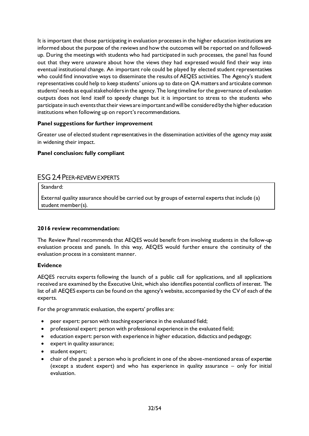It is important that those participating in evaluation processes in the higher education institutions are informed about the purpose of the reviews and how the outcomes will be reported on and followedup. During the meetings with students who had participated in such processes, the panel has found out that they were unaware about how the views they had expressed would find their way into eventual institutional change. An important role could be played by elected student representatives who could find innovative ways to disseminate the results of AEQES activities. The Agency's student representatives could help to keep students' unions up to date on QA matters and articulate common students' needs as equal stakeholders in the agency. The long timeline for the governance of evaluation outputs does not lend itself to speedy change but it is important to stress to the students who participate in such events that their views are important and will be considered by the higher education institutions when following up on report's recommendations.

# **Panel suggestions for further improvement**

Greater use of elected student representatives in the dissemination activities of the agency may assist in widening their impact.

#### **Panel conclusion: fully compliant**

# <span id="page-32-0"></span>ESG 2.4 PEER-REVIEW EXPERTS

Standard:

External quality assurance should be carried out by groups of external experts that include (a) student member(s).

#### **2016 review recommendation:**

The Review Panel recommends that AEQES would benefit from involving students in the follow-up evaluation process and panels. In this way, AEQES would further ensure the continuity of the evaluation process in a consistent manner.

#### **Evidence**

AEQES recruits experts following the launch of a public call for applications, and all applications received are examined by the Executive Unit, which also identifies potential conflicts of interest. The list of all AEQES experts can be found on the agency's website, accompanied by the CV of each of the experts.

For the programmatic evaluation, the experts' profiles are:

- peer expert: person with teaching experience in the evaluated field;
- professional expert: person with professional experience in the evaluated field;
- education expert: person with experience in higher education, didactics and pedagogy;
- expert in quality assurance;
- student expert;
- chair of the panel: a person who is proficient in one of the above-mentioned areas of expertise (except a student expert) and who has experience in quality assurance – only for initial evaluation.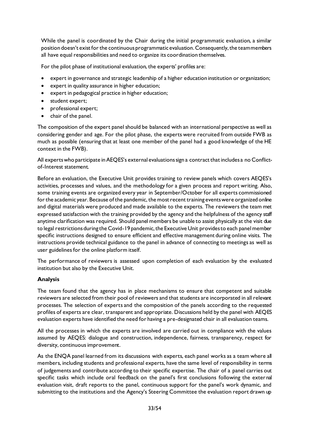While the panel is coordinated by the Chair during the initial programmatic evaluation, a similar position doesn't exist for the continuous programmatic evaluation. Consequently, the team members all have equal responsibilities and need to organize its coordination themselves.

For the pilot phase of institutional evaluation, the experts' profiles are:

- expert in governance and strategic leadership of a higher education institution or organization;
- expert in quality assurance in higher education;
- expert in pedagogical practice in higher education;
- student expert;
- professional expert;
- chair of the panel.

The composition of the expert panel should be balanced with an international perspective as well as considering gender and age. For the pilot phase, the experts were recruited from outside FWB as much as possible (ensuring that at least one member of the panel had a good knowledge of the HE context in the FWB).

All experts who participate in AEQES's external evaluations sign a contract that includes a no Conflictof-Interest statement.

Before an evaluation, the Executive Unit provides training to review panels which covers AEQES's activities, processes and values, and the methodology for a given process and report writing. Also, some training events are organized every year in September/October for all experts commissioned for the academic year. Because of the pandemic, the most recent training events were organized online and digital materials were produced and made available to the experts. The reviewers the team met expressed satisfaction with the training provided by the agency and the helpfulness of the agency staff anytime clarification was required. Should panel members be unable to assist physically at the visit due to legal restrictions during the Covid-19 pandemic, the Executive Unit provides to each panel member specific instructions designed to ensure efficient and effective management during online visits. The instructions provide technical guidance to the panel in advance of connecting to meetings as well as user guidelines for the online platform itself.

The performance of reviewers is assessed upon completion of each evaluation by the evaluated institution but also by the Executive Unit.

#### **Analysis**

The team found that the agency has in place mechanisms to ensure that competent and suitable reviewers are selected from their pool of reviewers and that students are incorporated in all relevant processes. The selection of experts and the composition of the panels according to the requested profiles of experts are clear, transparent and appropriate. Discussions held by the panel with AEQES evaluation experts have identified the need for having a pre-designated chair in all evaluation teams.

All the processes in which the experts are involved are carried out in compliance with the values assumed by AEQES: dialogue and construction, independence, fairness, transparency, respect for diversity, continuous improvement.

As the ENQA panel learned from its discussions with experts, each panel works as a team where all members, including students and professional experts, have the same level of responsibility in terms of judgements and contribute according to their specific expertise. The chair of a panel carries out specific tasks which include oral feedback on the panel's first conclusions following the external evaluation visit, draft reports to the panel, continuous support for the panel's work dynamic, and submitting to the institutions and the Agency's Steering Committee the evaluation report drawn up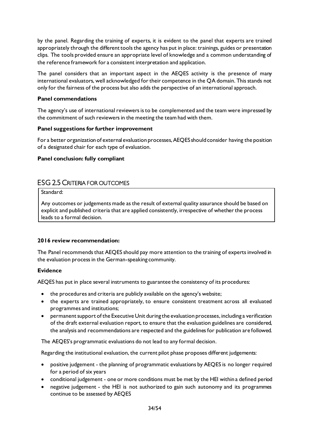by the panel. Regarding the training of experts, it is evident to the panel that experts are trained appropriately through the different tools the agency has put in place: trainings, guides or presentation clips. The tools provided ensure an appropriate level of knowledge and a common understanding of the reference framework for a consistent interpretation and application.

The panel considers that an important aspect in the AEQES activity is the presence of many international evaluators, well acknowledged for their competence in the QA domain. This stands not only for the fairness of the process but also adds the perspective of an international approach.

#### **Panel commendations**

The agency's use of international reviewers is to be complemented and the team were impressed by the commitment of such reviewers in the meeting the team had with them.

#### **Panel suggestions for further improvement**

For a better organization of external evaluation processes, AEQES should consider having the position of a designated chair for each type of evaluation.

#### **Panel conclusion: fully compliant**

# <span id="page-34-0"></span>ESG 2.5 CRITERIA FOR OUTCOMES

#### Standard:

Any outcomes or judgements made as the result of external quality assurance should be based on explicit and published criteria that are applied consistently, irrespective of whether the process leads to a formal decision.

# **2016 review recommendation:**

The Panel recommends that AEQES should pay more attention to the training of experts involved in the evaluation process in the German-speaking community.

#### **Evidence**

AEQES has put in place several instruments to guarantee the consistency of its procedures:

- the procedures and criteria are publicly available on the agency's website;
- the experts are trained appropriately, to ensure consistent treatment across all evaluated programmes and institutions;
- permanent support of the Executive Unit during the evaluation processes, including a verification of the draft external evaluation report, to ensure that the evaluation guidelines are considered, the analysis and recommendations are respected and the guidelines for publication are followed.

The AEQES's programmatic evaluations do not lead to any formal decision.

Regarding the institutional evaluation, the current pilot phase proposes different judgements:

- positive judgement the planning of programmatic evaluations by AEQES is no longer required for a period of six years
- conditional judgement one or more conditions must be met by the HEI within a defined period
- negative judgement the HEI is not authorized to gain such autonomy and its programmes continue to be assessed by AEQES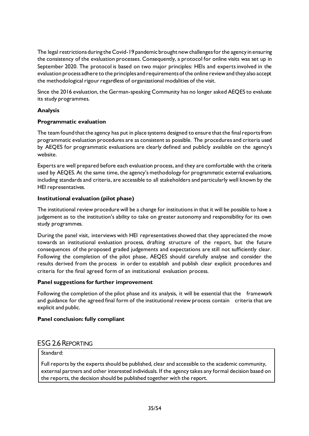The legal restrictions during the Covid-19 pandemic brought new challenges for the agency in ensuring the consistency of the evaluation processes. Consequently, a protocol for online visits was set up in September 2020. The protocol is based on two major principles: HEIs and experts involved in the evaluation process adhere to the principles and requirements of the online review and they also accept the methodological rigour regardless of organizational modalities of the visit.

Since the 2016 evaluation, the German-speaking Community has no longer asked AEQES to evaluate its study programmes.

# **Analysis**

#### **Programmatic evaluation**

The team found that the agency has put in place systems designed to ensure that the final reports from programmatic evaluation procedures are as consistent as possible. The procedures and criteria used by AEQES for programmatic evaluations are clearly defined and publicly available on the agency's website.

Experts are well prepared before each evaluation process, and they are comfortable with the criteria used by AEQES. At the same time, the agency's methodology for programmatic external evaluations, including standards and criteria, are accessible to all stakeholders and particularly well known by the HEI representatives.

#### **Institutional evaluation (pilot phase)**

The institutional review procedure will be a change for institutions in that it will be possible to have a judgement as to the institution's ability to take on greater autonomy and responsibility for its own study programmes.

During the panel visit, interviews with HEI representatives showed that they appreciated the move towards an institutional evaluation process, drafting structure of the report, but the future consequences of the proposed graded judgements and expectations are still not sufficiently clear. Following the completion of the pilot phase, AEQES should carefully analyse and consider the results derived from the process in order to establish and publish clear explicit procedures and criteria for the final agreed form of an institutional evaluation process.

#### **Panel suggestions for further improvement**

Following the completion of the pilot phase and its analysis, it will be essential that the framework and guidance for the agreed final form of the institutional review process contain criteria that are explicit and public.

#### **Panel conclusion: fully compliant**

# <span id="page-35-0"></span>ESG 2.6 REPORTING

# Standard:

Full reports by the experts should be published, clear and accessible to the academic community, external partners and other interested individuals. If the agency takes any formal decision based on the reports, the decision should be published together with the report.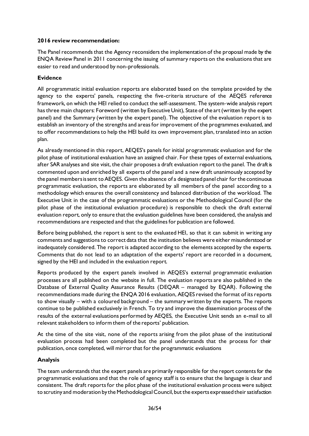#### **2016 review recommendation:**

The Panel recommends that the Agency reconsiders the implementation of the proposal made by the ENQA Review Panel in 2011 concerning the issuing of summary reports on the evaluations that are easier to read and understood by non-professionals.

### **Evidence**

All programmatic initial evaluation reports are elaborated based on the template provided by the agency to the experts' panels, respecting the five-criteria structure of the AEQES reference framework, on which the HEI relied to conduct the self-assessment. The system-wide analysis report has three main chapters: Foreword (written by Executive Unit), State of the art (written by the expert panel) and the Summary (written by the expert panel). The objective of the evaluation report is to establish an inventory of the strengths and areas for improvement of the programmes evaluated, and to offer recommendations to help the HEI build its own improvement plan, translated into an action plan.

As already mentioned in this report, AEQES's panels for initial programmatic evaluation and for the pilot phase of institutional evaluation have an assigned chair. For these types of external evaluations, after SAR analyses and site visit, the chair proposes a draft evaluation report to the panel. The draft is commented upon and enriched by all experts of the panel and a new draft unanimously accepted by the panel members is sent to AEQES. Given the absence of a designated panel chair for the continuous programmatic evaluation, the reports are elaborated by all members of the panel according to a methodology which ensures the overall consistency and balanced distribution of the workload. The Executive Unit in the case of the programmatic evaluations or the Methodological Council (for the pilot phase of the institutional evaluation procedure) is responsible to check the draft external evaluation report, only to ensure that the evaluation guidelines have been considered, the analysis and recommendations are respected and that the guidelines for publication are followed.

Before being published, the report is sent to the evaluated HEI, so that it can submit in writing any comments and suggestions to correct data that the institution believes were either misunderstood or inadequately considered. The report is adapted according to the elements accepted by the experts. Comments that do not lead to an adaptation of the experts' report are recorded in a document, signed by the HEI and included in the evaluation report.

Reports produced by the expert panels involved in AEQES's external programmatic evaluation processes are all published on the website in full. The evaluation reports are also published in the Database of External Quality Assurance Results (DEQAR – managed by EQAR). Following the recommendations made during the ENQA 2016 evaluation, AEQES revised the format of its reports to show visually – with a coloured background – the summary written by the experts. The reports continue to be published exclusively in French. To try and improve the dissemination process of the results of the external evaluations performed by AEQES, the Executive Unit sends an e-mail to all relevant stakeholders to inform them of the reports' publication.

At the time of the site visit, none of the reports arising from the pilot phase of the institutional evaluation process had been completed but the panel understands that the process for their publication, once completed, will mirror that for the programmatic evaluations

# **Analysis**

The team understands that the expert panels are primarily responsible for the report contents for the programmatic evaluations and that the role of agency staff is to ensure that the language is clear and consistent. The draft reports for the pilot phase of the institutional evaluation process were subject to scrutiny and moderation by the Methodological Council, but the experts expressed their satisfaction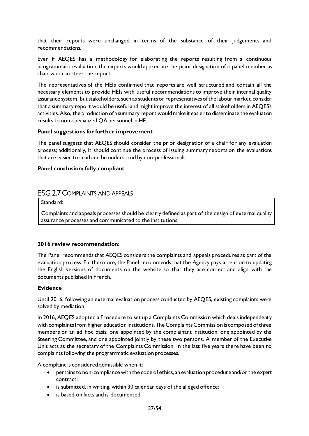that their reports were unchanged in terms of the substance of their judgements and recommendations.

Even if AEQES has a methodology for elaborating the reports resulting from a continuous programmatic evaluation, the experts would appreciate the prior designation of a panel member as chair who can steer the report.

The representatives of the HEIs confirmed that reports are well structured and contain all the necessary elements to provide HEIs with useful recommendations to improve their internal quality assurance system, but stakeholders, such as students or representatives of the labour market, consider that a summary report would be useful and might improve the interest of all stakeholders in AEQES's activities.Also, the production of a summary report would make it easier to disseminate the evaluation results to non-specialized QA personnel in HE.

#### **Panel suggestions for further improvement**

The panel suggests that AEQES should consider the prior designation of a chair for any evaluation process; additionally, it should continue the process of issuing summary reports on the evaluations that are easier to read and be understood by non-professionals.

#### **Panel conclusion: fully compliant**

# <span id="page-37-0"></span>ESG 2.7 COMPLAINTS AND APPEALS

Standard:

Complaints and appeals processes should be clearly defined as part of the design of external quality assurance processes and communicated to the institutions.

#### **2016 review recommendation:**

The Panel recommends that AEQES considers the complaints and appeals procedures as part of the evaluation process. Furthermore, the Panel recommends that the Agency pays attention to updating the English versions of documents on the website so that they are correct and align with the documents published in French.

#### **Evidence**

Until 2016, following an external evaluation process conducted by AEQES, existing complaints were solved by mediation.

In 2016, AEQES adopted a Procedure to set up a Complaints Commission which deals independently with complaints from higher education institutions. The Complaints Commission is composed of three members on an ad hoc basis: one appointed by the complainant institution, one appointed by the Steering Committee, and one appointed jointly by these two persons. A member of the Executive Unit acts as the secretary of the Complaints Commission. In the last five years there have been no complaints following the programmatic evaluation processes.

A complaint is considered admissible when it:

- pertains to non-compliance with the code of ethics, an evaluation procedure and/or the expert contract;
- is submitted, in writing, within 30 calendar days of the alleged offence;
- is based on facts and is documented: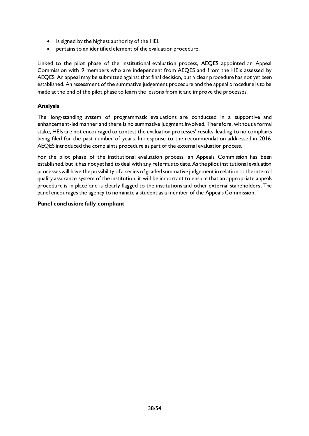- is signed by the highest authority of the HEI;
- pertains to an identified element of the evaluation procedure.

Linked to the pilot phase of the institutional evaluation process, AEQES appointed an Appeal Commission with 9 members who are independent from AEQES and from the HEIs assessed by AEQES. An appeal may be submitted against that final decision, but a clear procedure has not yet been established. An assessment of the summative judgement procedure and the appeal procedure is to be made at the end of the pilot phase to learn the lessons from it and improve the processes.

#### **Analysis**

The long-standing system of programmatic evaluations are conducted in a supportive and enhancement-led manner and there is no summative judgment involved. Therefore, without a formal stake, HEIs are not encouraged to contest the evaluation processes' results, leading to no complaints being filed for the past number of years. In response to the recommendation addressed in 2016, AEQES introduced the complaints procedure as part of the external evaluation process.

For the pilot phase of the institutional evaluation process, an Appeals Commission has been established, but it has not yet had to deal with any referrals to date. As the pilot institutional evaluation processes will have the possibility of a series of graded summative judgement in relation to the internal quality assurance system of the institution, it will be important to ensure that an appropriate appeals procedure is in place and is clearly flagged to the institutions and other external stakeholders. The panel encourages the agency to nominate a student as a member of the Appeals Commission.

#### **Panel conclusion: fully compliant**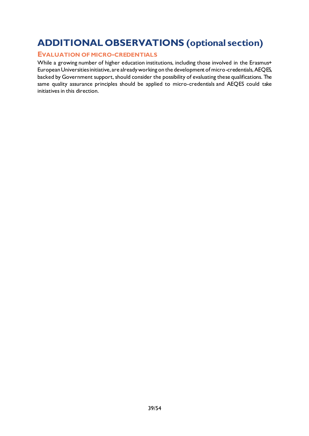# <span id="page-39-0"></span>**ADDITIONAL OBSERVATIONS (optional section)**

# <span id="page-39-1"></span>**EVALUATION OF MICRO-CREDENTIALS**

While a growing number of higher education institutions, including those involved in the Erasmus+ European Universities initiative, are already working on the development of micro-credentials, AEQES, backed by Government support, should consider the possibility of evaluating these qualifications. The same quality assurance principles should be applied to micro-credentials and AEQES could take initiatives in this direction.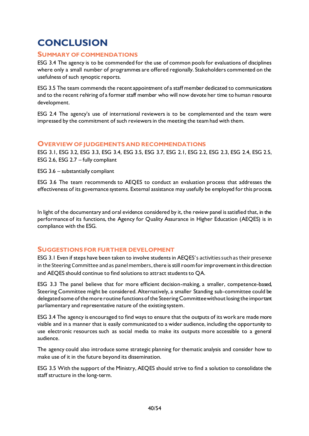# <span id="page-40-0"></span>**CONCLUSION**

# <span id="page-40-1"></span>**SUMMARY OF COMMENDATIONS**

ESG 3.4 The agency is to be commended for the use of common pools for evaluations of disciplines where only a small number of programmes are offered regionally. Stakeholders commented on the usefulness of such synoptic reports.

ESG 3.5 The team commends the recent appointment of a staff member dedicated to communications and to the recent rehiring of a former staff member who will now devote her time to human resource development.

ESG 2.4 The agency's use of international reviewers is to be complemented and the team were impressed by the commitment of such reviewers in the meeting the team had with them.

#### <span id="page-40-2"></span>**OVERVIEW OF JUDGEMENTS AND RECOMMENDATIONS**

ESG 3.1, ESG 3.2, ESG 3.3, ESG 3.4, ESG 3.5, ESG 3.7, ESG 2.1, ESG 2.2, ESG 2.3, ESG 2.4, ESG 2.5, ESG 2.6, ESG 2.7 – fully compliant

ESG 3.6 – substantially compliant

ESG 3.6 The team recommends to AEQES to conduct an evaluation process that addresses the effectiveness of its governance systems. External assistance may usefully be employed for this process.

In light of the documentary and oral evidence considered by it, the review panel is satisfied that, in the performance of its functions, the Agency for Quality Assurance in Higher Education (AEQES) is in compliance with the ESG.

# <span id="page-40-3"></span>**SUGGESTIONS FOR FURTHER DEVELOPMENT**

ESG 3.1 Even if steps have been taken to involve students in AEQES's activitiessuch as their presence in the Steering Committee and as panel members, there is still room for improvement in this direction and AEQES should continue to find solutions to attract students to QA.

ESG 3.3 The panel believe that for more efficient decision-making, a smaller, competence-based, Steering Committee might be considered. Alternatively, a smaller Standing sub-committee could be delegated some of the more routine functions of the Steering Committee without losing the important parliamentary and representative nature of the existing system.

ESG 3.4 The agency is encouraged to find ways to ensure that the outputs of its work are made more visible and in a manner that is easily communicated to a wider audience, including the opportunity to use electronic resources such as social media to make its outputs more accessible to a general audience.

The agency could also introduce some strategic planning for thematic analysis and consider how to make use of it in the future beyond its dissemination.

ESG 3.5 With the support of the Ministry, AEQES should strive to find a solution to consolidate the staff structure in the long-term.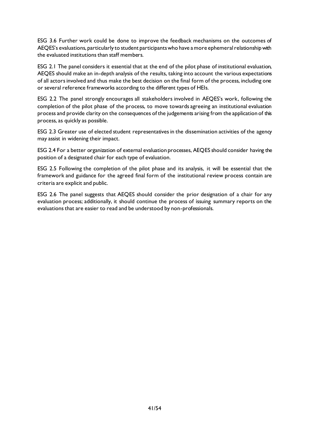ESG 3.6 Further work could be done to improve the feedback mechanisms on the outcomes of AEQES's evaluations, particularly to student participants who have a more ephemeral relationship with the evaluated institutions than staff members.

ESG 2.1 The panel considers it essential that at the end of the pilot phase of institutional evaluation, AEQES should make an in-depth analysis of the results, taking into account the various expectations of all actors involved and thus make the best decision on the final form of the process, including one or several reference frameworks according to the different types of HEIs.

ESG 2.2 The panel strongly encourages all stakeholders involved in AEQES's work, following the completion of the pilot phase of the process, to move towards agreeing an institutional evaluation process and provide clarity on the consequences of the judgements arising from the application of this process, as quickly as possible.

ESG 2.3 Greater use of elected student representatives in the dissemination activities of the agency may assist in widening their impact.

ESG 2.4 For a better organization of external evaluation processes, AEQES should consider having the position of a designated chair for each type of evaluation.

ESG 2.5 Following the completion of the pilot phase and its analysis, it will be essential that the framework and guidance for the agreed final form of the institutional review process contain are criteria are explicit and public.

ESG 2.6 The panel suggests that AEQES should consider the prior designation of a chair for any evaluation process; additionally, it should continue the process of issuing summary reports on the evaluations that are easier to read and be understood by non-professionals.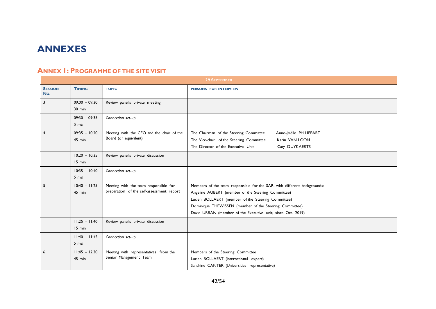# **ANNEXES**

# **ANNEX 1: PROGRAMME OF THE SITE VISIT**

<span id="page-42-1"></span><span id="page-42-0"></span>

|                       | <b>29 SEPTEMBER</b>         |                                                                                    |                                                                                                                                                                                                                                                                                                               |  |  |
|-----------------------|-----------------------------|------------------------------------------------------------------------------------|---------------------------------------------------------------------------------------------------------------------------------------------------------------------------------------------------------------------------------------------------------------------------------------------------------------|--|--|
| <b>SESSION</b><br>No. | <b>TIMING</b>               | <b>TOPIC</b>                                                                       | PERSONS FOR INTERVIEW                                                                                                                                                                                                                                                                                         |  |  |
| 3                     | $09:00 - 09:30$<br>$30$ min | Review panel's private meeting                                                     |                                                                                                                                                                                                                                                                                                               |  |  |
|                       | $09:30 - 09:35$<br>$5$ min  | Connection set-up                                                                  |                                                                                                                                                                                                                                                                                                               |  |  |
| $\overline{4}$        | $09:35 - 10:20$<br>45 min   | Meeting with the CEO and the chair of the<br>Board (or equivalent)                 | The Chairman of the Steering Committee<br>Anne-Joëlle PHILIPPART<br>Karin VAN LOON<br>The Vice-chair of the Steering Committee<br>The Director of the Executive Unit<br>Caty DUYKAERTS                                                                                                                        |  |  |
|                       | $10:20 - 10:35$<br>15 min   | Review panel's private discussion                                                  |                                                                                                                                                                                                                                                                                                               |  |  |
|                       | $10:35 - 10:40$<br>$5$ min  | Connection set-up                                                                  |                                                                                                                                                                                                                                                                                                               |  |  |
| 5                     | $10:40 - 11:25$<br>$45$ min | Meeting with the team responsible for<br>preparation of the self-assessment report | Members of the team responsible for the SAR, with different backgrounds:<br>Angeline AUBERT (member of the Steering Committee)<br>Lucien BOLLAERT (member of the Steering Committee)<br>Dominique THEWISSEN (member of the Steering Committee)<br>David URBAN (member of the Executive unit, since Oct. 2019) |  |  |
|                       | $11:25 - 11:40$<br>15 min   | Review panel's private discussion                                                  |                                                                                                                                                                                                                                                                                                               |  |  |
|                       | $11:40 - 11:45$<br>5 min    | Connection set-up                                                                  |                                                                                                                                                                                                                                                                                                               |  |  |
| 6                     | $11:45 - 12:30$<br>$45$ min | Meeting with representatives from the<br>Senior Management Team                    | Members of the Steering Committee<br>Lucien BOLLAERT (international expert)<br>Sandrine CANTER (Universities representative)                                                                                                                                                                                  |  |  |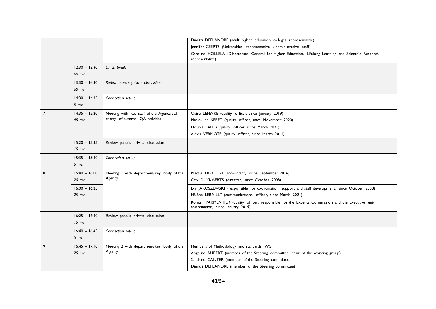|                |                 |                                               | Dimitri DEFLANDRE (adult higher education colleges representative)                                                                     |
|----------------|-----------------|-----------------------------------------------|----------------------------------------------------------------------------------------------------------------------------------------|
|                |                 |                                               | Jennifer GEERTS (Universities representative / administrative staff)                                                                   |
|                |                 |                                               | Caroline HOLLELA (Directorate General for Higher Education, Lifelong Learning and Scientific Research<br>representative)               |
|                | $12:30 - 13:30$ | Lunch break                                   |                                                                                                                                        |
|                | 60 min          |                                               |                                                                                                                                        |
|                | $13:30 - 14:30$ | Review panel's private discussion             |                                                                                                                                        |
|                | <b>60 min</b>   |                                               |                                                                                                                                        |
|                | $14:30 - 14:35$ | Connection set-up                             |                                                                                                                                        |
|                | $5 \text{ min}$ |                                               |                                                                                                                                        |
| $\overline{7}$ | $14:35 - 15:20$ | Meeting with key staff of the Agency/staff in | Claire LEFEVRE (quality officer, since January 2019)                                                                                   |
|                | 45 min          | charge of external QA activities              | Marie-Line SERET (quality officer, since November 2020)                                                                                |
|                |                 |                                               | Dounia TALEB (quality officer, since March 2021)                                                                                       |
|                |                 |                                               | Alexis VERMOTE (quality officer, since March 2011)                                                                                     |
|                | $15:20 - 15:35$ | Review panel's private discussion             |                                                                                                                                        |
|                | 15 min          |                                               |                                                                                                                                        |
|                | $15:35 - 15:40$ | Connection set-up                             |                                                                                                                                        |
|                | $5$ min         |                                               |                                                                                                                                        |
|                |                 |                                               |                                                                                                                                        |
| 8              | $15:40 - 16:00$ | Meeting I with department/key body of the     | Pascale DISKEUVE (accountant, since September 2016)                                                                                    |
|                | $20$ min        | Agency                                        | Caty DUYKAERTS (director, since October 2008)                                                                                          |
|                | $16:00 - 16:25$ |                                               | Eva JAROSZEWSKI (responsible for coordination support and staff development, since October 2008)                                       |
|                | $25$ min        |                                               | Hélène LEBAILLY (communications officer, since March 2021)                                                                             |
|                |                 |                                               | Romain PARMENTIER (quality officer, responsible for the Experts Commission and the Executive unit<br>coordination, since January 2019) |
|                | $16:25 - 16:40$ | Review panel's private discussion             |                                                                                                                                        |
|                | 15 min          |                                               |                                                                                                                                        |
|                | $16:40 - 16:45$ | Connection set-up                             |                                                                                                                                        |
|                | $5 \text{ min}$ |                                               |                                                                                                                                        |
| 9              | $16:45 - 17:10$ | Meeting 2 with department/key body of the     | Members of Methodology and standards WG:                                                                                               |
|                | $25$ min        | Agency                                        | Angeline AUBERT (member of the Steering committee, chair of the working group)                                                         |
|                |                 |                                               | Sandrine CANTER (member of the Steering committee)<br>Dimitri DEFLANDRE (member of the Steering committee)                             |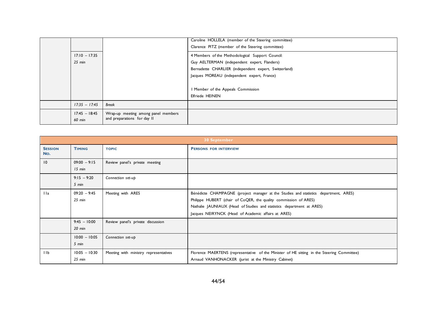|                             |                                                                    | Caroline HOLLELA (member of the Steering committee)<br>Clarence PITZ (member of the Steering committee)                                                                                                                                                                  |
|-----------------------------|--------------------------------------------------------------------|--------------------------------------------------------------------------------------------------------------------------------------------------------------------------------------------------------------------------------------------------------------------------|
| $17:10 - 17:35$<br>$25$ min |                                                                    | 4 Members of the Methodological Support Council:<br>Guy AELTERMAN (independent expert, Flanders)<br>Bernadette CHARLIER (independent expert, Switzerland)<br>Jacques MOREAU (independent expert, France)<br>I Member of the Appeals Commission<br><b>Elfriede HEINEN</b> |
| $17:35 - 17:45$             | <b>Break</b>                                                       |                                                                                                                                                                                                                                                                          |
| $17:45 - 18:45$<br>60 min   | Wrap-up meeting among panel members<br>and preparations for day II |                                                                                                                                                                                                                                                                          |

|                       | <b>30 September</b>         |                                       |                                                                                                                                                                                                                                                                                          |  |  |
|-----------------------|-----------------------------|---------------------------------------|------------------------------------------------------------------------------------------------------------------------------------------------------------------------------------------------------------------------------------------------------------------------------------------|--|--|
| <b>SESSION</b><br>No. | <b>TIMING</b>               | <b>TOPIC</b>                          | <b>PERSONS FOR INTERVIEW</b>                                                                                                                                                                                                                                                             |  |  |
| 10                    | $09:00 - 9:15$<br>$15$ min  | Review panel's private meeting        |                                                                                                                                                                                                                                                                                          |  |  |
|                       | $9:15 - 9:20$<br>5 min      | Connection set-up                     |                                                                                                                                                                                                                                                                                          |  |  |
| 11a                   | $09:20 - 9:45$<br>$25$ min  | Meeting with ARES                     | Bénédicte CHAMPAGNE (project manager at the Studies and statistics department, ARES)<br>Philippe HUBERT (chair of CoQER, the quality commission of ARES)<br>Nathalie JAUNIAUX (Head of Studies and statistics department at ARES)<br>Jacques NEIRYNCK (Head of Academic affairs at ARES) |  |  |
|                       | $9:45 - 10:00$<br>$20$ min  | Review panel's private discussion     |                                                                                                                                                                                                                                                                                          |  |  |
|                       | $10:00 - 10:05$<br>5 min    | Connection set-up                     |                                                                                                                                                                                                                                                                                          |  |  |
| 11 <sub>b</sub>       | $10:05 - 10:30$<br>$25$ min | Meeting with ministry representatives | Florence MAERTENS (representative of the Minister of HE sitting in the Steering Committee)<br>Arnaud VANHONACKER (jurist at the Ministry Cabinet)                                                                                                                                        |  |  |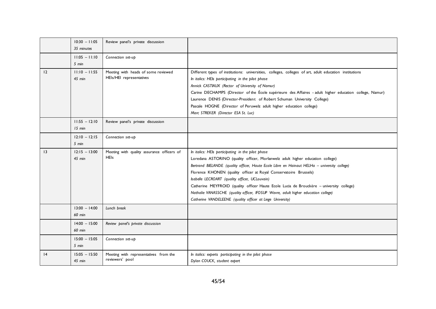|                 | $10:30 - 11:05$<br>35 minutes | Review panel's private discussion                               |                                                                                                                                                                                                                                                                                                                                                                                                                                                                                                                                                                                                            |
|-----------------|-------------------------------|-----------------------------------------------------------------|------------------------------------------------------------------------------------------------------------------------------------------------------------------------------------------------------------------------------------------------------------------------------------------------------------------------------------------------------------------------------------------------------------------------------------------------------------------------------------------------------------------------------------------------------------------------------------------------------------|
|                 | $11:05 - 11:10$<br>5 min      | Connection set-up                                               |                                                                                                                                                                                                                                                                                                                                                                                                                                                                                                                                                                                                            |
| 12              | $11:10 - 11:55$<br>$45$ min   | Meeting with heads of some reviewed<br>HEIs/HEI representatives | Different types of institutions: universities, colleges, colleges of art, adult education institutions<br>In italics: HEIs participating in the pilot phase<br>Annick CASTIAUX (Rector of University of Namur)<br>Carine DECHAMPS (Director of the École supérieure des Affaires - adult higher education college, Namur)<br>Laurence DENIS (Director-President of Robert Schuman University College)<br>Pascale HOGNE (Director of Peruwelz adult higher education college)<br>Marc STREKER (Director ESA St. Luc)                                                                                        |
|                 | $11:55 - 12:10$<br>$15$ min   | Review panel's private discussion                               |                                                                                                                                                                                                                                                                                                                                                                                                                                                                                                                                                                                                            |
|                 | $12:10 - 12:15$<br>$5$ min    | Connection set-up                                               |                                                                                                                                                                                                                                                                                                                                                                                                                                                                                                                                                                                                            |
| $\overline{13}$ | $12:15 - 13:00$<br>45 min     | Meeting with quality assurance officers of<br><b>HEIs</b>       | In italics: HEIs participating in the pilot phase<br>Loredana ASTORINO (quality officer, Morlanwelz adult higher education college)<br>Bertrand BIELANDE (quality officer, Haute Ecole Libre en Hainaut HELHa - university college)<br>Florence KHONEN (quality officer at Royal Conservatoire Brussels)<br>Isabelle LECROART (quality officer, UCLouvain)<br>Catherine MEYFROID (quality officer Haute Ecole Lucia de Brouckère - university college)<br>Nathalie VANASSCHE (quality officer, IFOSUP Wavre, adult higher education college)<br>Catherine VANDELEENE (quality officer at Liege University) |
|                 | $13:00 - 14:00$<br>60 min     | Lunch break                                                     |                                                                                                                                                                                                                                                                                                                                                                                                                                                                                                                                                                                                            |
|                 | $14:00 - 15:00$<br>60 min     | Review panel's private discussion                               |                                                                                                                                                                                                                                                                                                                                                                                                                                                                                                                                                                                                            |
|                 | $15:00 - 15:05$<br>$5$ min    | Connection set-up                                               |                                                                                                                                                                                                                                                                                                                                                                                                                                                                                                                                                                                                            |
| 4               | $15:05 - 15:50$<br>45 min     | Meeting with representatives from the<br>reviewers' pool        | In italics: experts participating in the pilot phase<br>Dylan COUCK, student expert                                                                                                                                                                                                                                                                                                                                                                                                                                                                                                                        |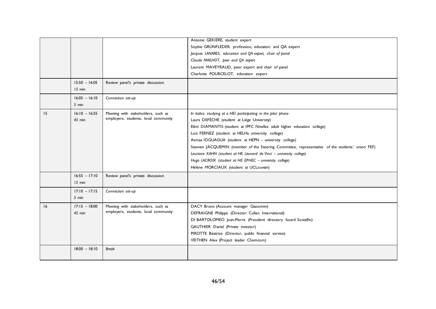|    |                           |                                      | Antoine GEKIERE, student expert                                                                 |
|----|---------------------------|--------------------------------------|-------------------------------------------------------------------------------------------------|
|    |                           |                                      | Sophie GRÜNFLEDER, profession, education and QA expert                                          |
|    |                           |                                      | Jacques LANARES, education and QA expert, chair of panel                                        |
|    |                           |                                      | Claude MAILHOT, peer and QA expert                                                              |
|    |                           |                                      | Laurent MAVEYRAUD, peer expert and chair of panel                                               |
|    |                           |                                      | Charlotte POURCELOT, education expert                                                           |
|    | $15:50 - 16:05$<br>15 min | Review panel's private discussion    |                                                                                                 |
|    | $16:05 - 16:10$           | Connection set-up                    |                                                                                                 |
|    | $5$ min                   |                                      |                                                                                                 |
| 15 | $16:10 - 16:55$           | Meeting with stakeholders, such as   | In italics: studying at a HEI participating in the pilot phase                                  |
|    | $45$ min                  | employers, students, local community | Laura DEFÈCHE (student at Liège University)                                                     |
|    |                           |                                      | Eléni DIAMANTIS (student at IPFC Nivelles adult higher education college)                       |
|    |                           |                                      | Loïc FERNEZ (student at HELHa university college)                                               |
|    |                           |                                      | Asmaa IDGUAGUA (student at HEPN - university college)                                           |
|    |                           |                                      | Steeven JACQUEMIN (member of the Steering Committee, representative of the students' union FEF) |
|    |                           |                                      | Lauriane KAHN (student at HE Léonard de Vinci - university college)                             |
|    |                           |                                      | Hugo LACROIX (student at HE EPHEC - university college)                                         |
|    |                           |                                      | Hélène MORCIAUX (student at UCLouvain)                                                          |
|    | $16:55 - 17:10$           | Review panel's private discussion    |                                                                                                 |
|    | $15$ min                  |                                      |                                                                                                 |
|    | $17:10 - 17:15$           | Connection set-up                    |                                                                                                 |
|    | 5 min                     |                                      |                                                                                                 |
| 16 | $17:15 - 18:00$           | Meeting with stakeholders, such as   | DACY Bruno (Account manager Giacomini)                                                          |
|    | $45$ min                  | employers, students, local community | DEFRAIGNE Philippe (Director Cullen International)                                              |
|    |                           |                                      | DI BARTOLOMEO Jean-Pierre (President directory board Sowalfin)                                  |
|    |                           |                                      | GAUTHIER Daniel (Private investor)                                                              |
|    |                           |                                      | PIROTTE Béatrice (Director, public financial service)                                           |
|    |                           |                                      | VEITHEN Alex (Project leader Chemcom)                                                           |
|    | $18:00 - 18:10$           | <b>Break</b>                         |                                                                                                 |
|    |                           |                                      |                                                                                                 |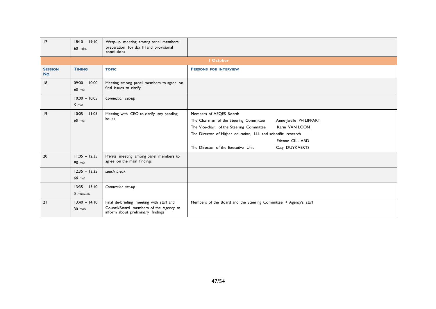| 17                    | $18:10 - 19:10$<br>60 min.       | Wrap-up meeting among panel members:<br>preparation for day III and provisional<br>conclusions                          |                                                                                                                                                                                                                                                                                                        |  |  |  |
|-----------------------|----------------------------------|-------------------------------------------------------------------------------------------------------------------------|--------------------------------------------------------------------------------------------------------------------------------------------------------------------------------------------------------------------------------------------------------------------------------------------------------|--|--|--|
|                       | <b>I</b> October                 |                                                                                                                         |                                                                                                                                                                                                                                                                                                        |  |  |  |
| <b>SESSION</b><br>No. | <b>TIMING</b>                    | <b>TOPIC</b>                                                                                                            | <b>PERSONS FOR INTERVIEW</b>                                                                                                                                                                                                                                                                           |  |  |  |
| 8                     | $09:00 - 10:00$<br><b>60 min</b> | Meeting among panel members to agree on<br>final issues to clarify                                                      |                                                                                                                                                                                                                                                                                                        |  |  |  |
|                       | $10:00 - 10:05$<br>$5$ min       | Connection set-up                                                                                                       |                                                                                                                                                                                                                                                                                                        |  |  |  |
| 9                     | $10:05 - 11:05$<br>60 min        | Meeting with CEO to clarify any pending<br>issues                                                                       | Members of AEQES Board:<br>The Chairman of the Steering Committee<br>Anne-Joëlle PHILIPPART<br>The Vice-chair of the Steering Committee<br>Karin VAN LOON<br>The Director of Higher education, LLL and scientific research<br>Etienne GILLIARD<br>The Director of the Executive Unit<br>Caty DUYKAERTS |  |  |  |
| 20                    | $11:05 - 12:35$<br><b>90 min</b> | Private meeting among panel members to<br>agree on the main findings                                                    |                                                                                                                                                                                                                                                                                                        |  |  |  |
|                       | $12:35 - 13:35$<br><b>60 min</b> | Lunch break                                                                                                             |                                                                                                                                                                                                                                                                                                        |  |  |  |
|                       | $13:35 - 13:40$<br>5 minutes     | Connection set-up                                                                                                       |                                                                                                                                                                                                                                                                                                        |  |  |  |
| 21                    | $13:40 - 14:10$<br>$30$ min      | Final de-briefing meeting with staff and<br>Council/Board members of the Agency to<br>inform about preliminary findings | Members of the Board and the Steering Committee + Agency's staff                                                                                                                                                                                                                                       |  |  |  |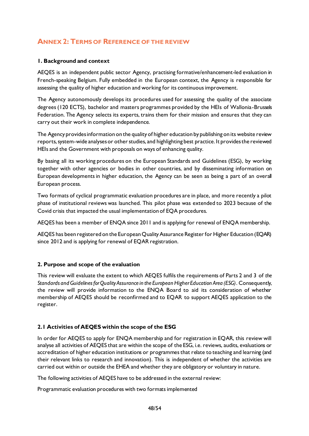# <span id="page-48-0"></span>**ANNEX 2: TERMS OF REFERENCE OF THE REVIEW**

### **1. Background and context**

AEQES is an independent public sector Agency, practising formative/enhancement-led evaluation in French-speaking Belgium. Fully embedded in the European context, the Agency is responsible for assessing the quality of higher education and working for its continuous improvement.

The Agency autonomously develops its procedures used for assessing the quality of the associate degrees (120 ECTS), bachelor and masters programmes provided by the HEIs of Wallonia-Brussels Federation. The Agency selects its experts, trains them for their mission and ensures that they can carry out their work in complete independence.

The Agency provides information on the quality of higher education by publishing on its website review reports, system-wide analyses or other studies, and highlighting best practice. It provides the reviewed HEIs and the Government with proposals on ways of enhancing quality.

By basing all its working procedures on the European Standards and Guidelines (ESG), by working together with other agencies or bodies in other countries, and by disseminating information on European developments in higher education, the Agency can be seen as being a part of an overall European process.

Two formats of cyclical programmatic evaluation procedures are in place, and more recently a pilot phase of institutional reviews was launched. This pilot phase was extended to 2023 because of the Covid crisis that impacted the usual implementation of EQA procedures.

AEQES has been a member of ENQA since 2011 and is applying for renewal of ENQA membership.

AEQES has been registered on the European Quality Assurance Register for Higher Education (EQAR) since 2012 and is applying for renewal of EQAR registration.

#### **2. Purpose and scope of the evaluation**

This review will evaluate the extent to which AEQES fulfils the requirements of Parts 2 and 3 of *the Standards and Guidelines for Quality Assurance in the European Higher Education Area (ESG)*. Consequently, the review will provide information to the ENQA Board to aid its consideration of whether membership of AEQES should be reconfirmed and to EQAR to support AEQES application to the register.

# **2.1 Activities of AEQES within the scope of the ESG**

In order for AEQES to apply for ENQA membership and for registration in EQAR, this review will analyse all activities of AEQES that are within the scope of the ESG, i.e. reviews, audits, evaluations or accreditation of higher education institutions or programmes that relate to teaching and learning (and their relevant links to research and innovation). This is independent of whether the activities are carried out within or outside the EHEA and whether they are obligatory or voluntary in nature.

The following activities of AEQES have to be addressed in the external review:

Programmatic evaluation procedures with two formats implemented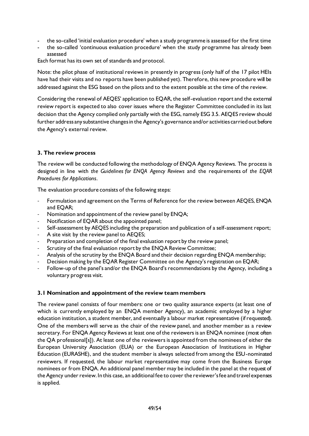- the so-called 'initial evaluation procedure' when a study programme is assessed for the first time
- the so-called 'continuous evaluation procedure' when the study programme has already been assessed

Each format has its own set of standards and protocol.

Note: the pilot phase of institutional reviews in presently in progress (only half of the 17 pilot HEIs have had their visits and no reports have been published yet). Therefore, this new procedure will be addressed against the ESG based on the pilots and to the extent possible at the time of the review.

Considering the renewal of AEQES' application to EQAR, the self-evaluation report and the external review report is expected to also cover issues where the Register Committee concluded in its last decision that the Agency complied only partially with the ESG, namely ESG 3.5. AEQES review should further address any substantive changes in the Agency's governance and/or activities carried out before the Agency's external review.

#### **3. The review process**

The review will be conducted following the methodology of ENQA Agency Reviews. The process is designed in line with *the Guidelines for ENQA Agency Reviews* and the requirements of *the EQAR Procedures for Applications*.

The evaluation procedure consists of the following steps:

- Formulation and agreement on the Terms of Reference for the review between AEQES, ENQA and EQAR;
- Nomination and appointment of the review panel by ENQA;
- Notification of EQAR about the appointed panel;
- Self-assessment by AEQES including the preparation and publication of a self-assessment report;
- A site visit by the review panel to AEQES;
- Preparation and completion of the final evaluation report by the review panel;
- Scrutiny of the final evaluation report by the ENQA Review Committee;
- Analysis of the scrutiny by the ENQA Board and their decision regarding ENQA membership;
- Decision making by the EQAR Register Committee on the Agency's registration on EQAR;
- Follow-up of the panel's and/or the ENQA Board's recommendations by the Agency, including a voluntary progress visit.

#### **3.1 Nomination and appointment of the review team members**

The review panel consists of four members: one or two quality assurance experts (at least one of which is currently employed by an ENQA member Agency), an academic employed by a higher education institution, a student member, and eventually a labour market representative (if requested). One of the members will serve as the chair of the review panel, and another member as a review secretary. For ENQA Agency Reviews at least one of the reviewers is an ENQA nominee (most often the QA professional[s]). At least one of the reviewers is appointed from the nominees of either the European University Association (EUA) or the European Association of Institutions in Higher Education (EURASHE), and the student member is always selected from among the ESU-nominated reviewers. If requested, the labour market representative may come from the Business Europe nominees or from ENQA. An additional panel member may be included in the panel at the request of the Agency under review. In this case, an additional fee to cover the reviewer's fee and travel expenses is applied.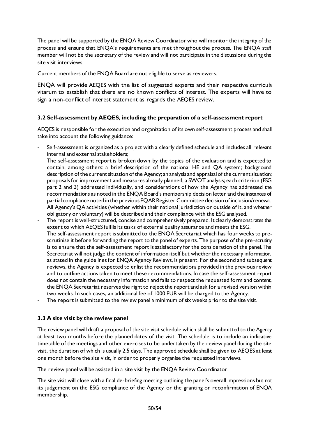The panel will be supported by the ENQA Review Coordinator who will monitor the integrity of the process and ensure that ENQA's requirements are met throughout the process. The ENQA staff member will not be the secretary of the review and will not participate in the discussions during the site visit interviews.

Current members of the ENQA Board are not eligible to serve as reviewers.

ENQA will provide AEQES with the list of suggested experts and their respective curricula vitarum to establish that there are no known conflicts of interest. The experts will have to sign a non-conflict of interest statement as regards the AEQES review.

# **3.2 Self-assessment by AEQES, including the preparation of a self-assessment report**

AEQES is responsible for the execution and organization of its own self-assessment process and shall take into account the following guidance:

- Self-assessment is organized as a project with a clearly defined schedule and includes all relevant internal and external stakeholders;
- The self-assessment report is broken down by the topics of the evaluation and is expected to contain, among others: a brief description of the national HE and QA system; background description of the current situation of the Agency; an analysis and appraisal of the current situation; proposals for improvement and measures already planned; a SWOT analysis; each criterion (ESG part 2 and 3) addressed individually, and considerations of how the Agency has addressed the recommendations as noted in the ENQA Board's membership decision letter and the instances of partial compliance noted in the previous EQAR Register Committee decision of inclusion/renewal. All Agency's QA activities (whether within their national jurisdiction or outside of it, and whether obligatory or voluntary) will be described and their compliance with the ESG analysed.
- The report is well-structured, concise and comprehensively prepared. It clearly demonstrates the extent to which AEQES fulfils its tasks of external quality assurance and meets the ESG.
- The self-assessment report is submitted to the ENQA Secretariat which has four weeks to prescrutinise it before forwarding the report to the panel of experts. The purpose of the pre-scrutiny is to ensure that the self-assessment report is satisfactory for the consideration of the panel. The Secretariat will not judge the content of information itself but whether the necessary information, as stated in the guidelines for ENQA Agency Reviews, is present. For the second and subsequent reviews, the Agency is expected to enlist the recommendations provided in the previous review and to outline actions taken to meet these recommendations. In case the self-assessment report does not contain the necessary information and fails to respect the requested form and content, the ENQA Secretariat reserves the right to reject the report and ask for a revised version within two weeks. In such cases, an additional fee of 1000 EUR will be charged to the Agency.
- The report is submitted to the review panel a minimum of six weeks prior to the site visit.

# **3.3 A site visit by the review panel**

The review panel will draft a proposal of the site visit schedule which shall be submitted to the Agency at least two months before the planned dates of the visit. The schedule is to include an indicative timetable of the meetings and other exercises to be undertaken by the review panel during the site visit, the duration of which is usually 2,5 days. The approved schedule shall be given to AEQES at least one month before the site visit, in order to properly organise the requested interviews.

The review panel will be assisted in a site visit by the ENQA Review Coordinator.

The site visit will close with a final de-briefing meeting outlining the panel's overall impressions but not its judgement on the ESG compliance of the Agency or the granting or reconfirmation of ENQA membership.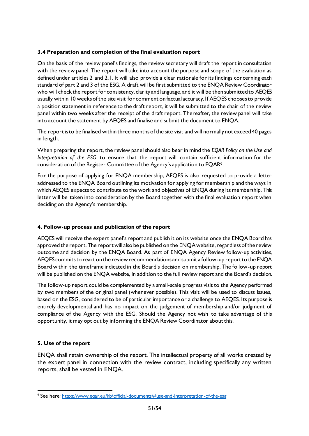# **3.4 Preparation and completion of the final evaluation report**

On the basis of the review panel's findings, the review secretary will draft the report in consultation with the review panel. The report will take into account the purpose and scope of the evaluation as defined under articles 2 and 2.1. It will also provide a clear rationale for its findings concerning each standard of part 2 and 3 of the ESG. A draft will be first submitted to the ENQA Review Coordinator who will check the report for consistency, clarity and language, and it will be then submitted to AEQES usually within 10 weeks of the site visit for comment on factual accuracy. If AEQES chooses to provide a position statement in reference to the draft report, it will be submitted to the chair of the review panel within two weeks after the receipt of the draft report. Thereafter, the review panel will take into account the statement by AEQES and finalise and submit the document to ENQA.

The report is to be finalised within three months of the site visit and will normally not exceed 40 pages in length.

When preparing the report, the review panel should also bear in mind the *EQAR Policy on the Use and Interpretation of the ESG* to ensure that the report will contain sufficient information for the consideration of the Register Committee of the Agency's application to EQAR9.

For the purpose of applying for ENQA membership, AEQES is also requested to provide a letter addressed to the ENQA Board outlining its motivation for applying for membership and the ways in which AEQES expects to contribute to the work and objectives of ENQA during its membership. This letter will be taken into consideration by the Board together with the final evaluation report when deciding on the Agency's membership.

# **4. Follow-up process and publication of the report**

AEQES will receive the expert panel's report and publish it on its website once the ENQA Board has approved the report. The report will also be published on the ENQA website, regardless of the review outcome and decision by the ENQA Board. As part of ENQA Agency Review follow-up activities, AEQES commits to react on the review recommendations and submit a follow-up report to the ENQA Board within the timeframe indicated in the Board's decision on membership. The follow-up report will be published on the ENQA website, in addition to the full review report and the Board's decision.

The follow-up report could be complemented by a small-scale progress visit to the Agency performed by two members of the original panel (whenever possible). This visit will be used to discuss issues, based on the ESG, considered to be of particular importance or a challenge to AEQES. Its purpose is entirely developmental and has no impact on the judgement of membership and/or judgment of compliance of the Agency with the ESG. Should the Agency not wish to take advantage of this opportunity, it may opt out by informing the ENQA Review Coordinator about this.

# **5. Use of the report**

ENQA shall retain ownership of the report. The intellectual property of all works created by the expert panel in connection with the review contract, including specifically any written reports, shall be vested in ENQA.

<sup>9</sup> See here[: https://www.eqar.eu/kb/official-documents/#use-and-interpretation-of-the-esg](https://www.eqar.eu/kb/official-documents/#use-and-interpretation-of-the-esg)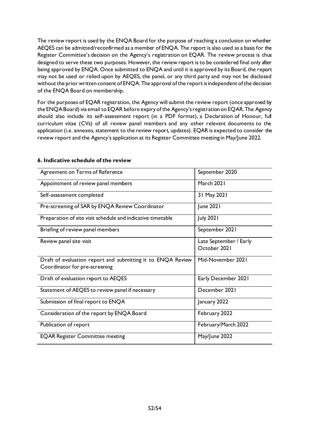The review report is used by the ENQA Board for the purpose of reaching a conclusion on whether AEQES can be admitted/reconfirmed as a member of ENQA. The report is also used as a basis for the Register Committee's decision on the Agency's registration on EQAR. The review process is thus designed to serve these two purposes. However, the review report is to be considered final only after being approved by ENQA. Once submitted to ENQA and until it is approved by its Board, the report may not be used or relied upon by AEQES, the panel, or any third party and may not be disclosed without the prior written consent of ENQA. The approval of the report is independent of the decision of the ENQA Board on membership.

For the purposes of EQAR registration, the Agency will submit the review report (once approved by the ENQA Board) via email to EQAR before expiry of the Agency's registration on EQAR. The Agency should also include its self-assessment report (in a PDF format), a Declaration of Honour, full curriculum vitae (CVs) of all review panel members and any other relevant documents to the application (i.e. annexes, statement to the review report, updates). EQAR is expected to consider the review report and the Agency's application at its Register Committee meeting in May/June 2022.

| Agreement on Terms of Reference                                                              | September 2020                         |
|----------------------------------------------------------------------------------------------|----------------------------------------|
| Appointment of review panel members                                                          | March 2021                             |
| Self-assessment completed                                                                    | 31 May 2021                            |
| Pre-screening of SAR by ENQA Review Coordinator                                              | June 2021                              |
| Preparation of site visit schedule and indicative timetable                                  | <b>July 2021</b>                       |
| Briefing of review panel members                                                             | September 2021                         |
| Review panel site visit                                                                      | Late September / Early<br>October 2021 |
| Draft of evaluation report and submitting it to ENQA Review<br>Coordinator for pre-screening | Mid-November 2021                      |
| Draft of evaluation report to AEQES                                                          | Early December 2021                    |
| Statement of AEQES to review panel if necessary                                              | December 2021                          |
| Submission of final report to ENQA                                                           | January 2022                           |
| Consideration of the report by ENQA Board                                                    | February 2022                          |
| Publication of report                                                                        | February/March 2022                    |
| <b>EQAR Register Committee meeting</b>                                                       | May/June 2022                          |

#### **6. Indicative schedule of the review**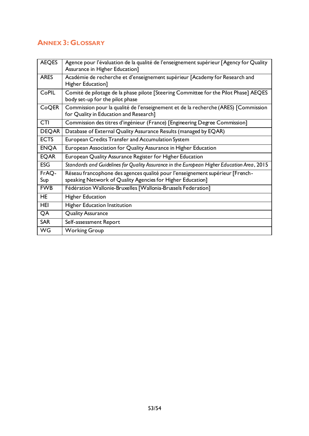# <span id="page-53-0"></span>**ANNEX 3: GLOSSARY**

| <b>AEQES</b> | Agence pour l'évaluation de la qualité de l'enseignement supérieur [Agency for Quality<br>Assurance in Higher Education]                    |
|--------------|---------------------------------------------------------------------------------------------------------------------------------------------|
| <b>ARES</b>  | Académie de recherche et d'enseignement supérieur [Academy for Research and<br>Higher Education]                                            |
| CoPIL        | Comité de pilotage de la phase pilote [Steering Committee for the Pilot Phase] AEQES<br>body set-up for the pilot phase                     |
| CoQER        | Commission pour la qualité de l'enseignement et de la recherche (ARES) [Commission<br>for Quality in Education and Research]                |
| <b>CTI</b>   | Commission des titres d'ingénieur (France) [Engineering Degree Commission]                                                                  |
| <b>DEQAR</b> | Database of External Quality Assurance Results (managed by EQAR)                                                                            |
| <b>ECTS</b>  | European Credits Transfer and Accumulation System                                                                                           |
| <b>ENQA</b>  | European Association for Quality Assurance in Higher Education                                                                              |
| <b>EQAR</b>  | European Quality Assurance Register for Higher Education                                                                                    |
| <b>ESG</b>   | Standards and Guidelines for Quality Assurance in the European Higher Education Area, 2015                                                  |
| FrAQ-<br>Sup | Réseau francophone des agences qualité pour l'enseignement supérieur [French-<br>speaking Network of Quality Agencies for Higher Education] |
| <b>FWB</b>   | Fédération Wallonie-Bruxelles [Wallonia-Brussels Federation]                                                                                |
| <b>HE</b>    | <b>Higher Education</b>                                                                                                                     |
| HEI          | <b>Higher Education Institution</b>                                                                                                         |
| QA           | <b>Quality Assurance</b>                                                                                                                    |
| <b>SAR</b>   | Self-assessment Report                                                                                                                      |
| <b>WG</b>    | <b>Working Group</b>                                                                                                                        |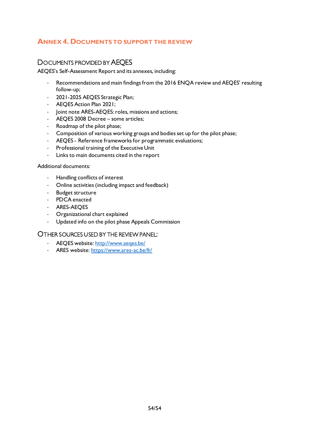# <span id="page-54-0"></span>**ANNEX 4. DOCUMENTS TO SUPPORT THE REVIEW**

# <span id="page-54-1"></span>DOCUMENTS PROVIDED BY AEQES

AEQES's Self-Assessment Report and its annexes, including:

- Recommendations and main findings from the 2016 ENQA review and AEQES' resulting follow-up;
- 2021-2025 AEQES Strategic Plan;
- AEQES Action Plan 2021;
- Joint note ARES-AEQES: roles, missions and actions;
- AEQES 2008 Decree some articles;
- Roadmap of the pilot phase;
- Composition of various working groups and bodies set up for the pilot phase;
- AEQES Reference frameworks for programmatic evaluations;
- Professional training of the Executive Unit
- Links to main documents cited in the report

#### Additional documents:

- Handling conflicts of interest
- Online activities (including impact and feedback)
- Budget structure
- PDCA enacted
- ARES-AEQES
- Organizational chart explained
- Updated info on the pilot phase Appeals Commission

#### <span id="page-54-2"></span>OTHER SOURCES USED BY THE REVIEW PANEL:

- AEQES website:<http://www.aeqes.be/>
- ARES website:<https://www.ares-ac.be/fr/>